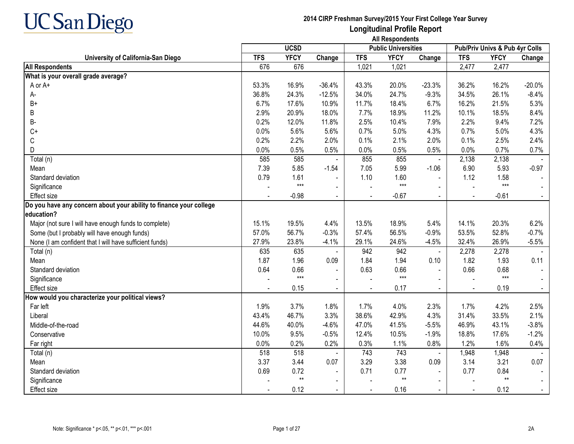

|                                                                    |            | <b>UCSD</b>  |                |            | <b>Public Universities</b> |                |            | Pub/Priv Univs & Pub 4yr Colls |          |
|--------------------------------------------------------------------|------------|--------------|----------------|------------|----------------------------|----------------|------------|--------------------------------|----------|
| University of California-San Diego                                 | <b>TFS</b> | <b>YFCY</b>  | Change         | <b>TFS</b> | <b>YFCY</b>                | Change         | <b>TFS</b> | <b>YFCY</b>                    | Change   |
| <b>All Respondents</b>                                             | 676        | 676          |                | 1,021      | 1,021                      |                | 2,477      | 2,477                          |          |
| What is your overall grade average?                                |            |              |                |            |                            |                |            |                                |          |
| A or A+                                                            | 53.3%      | 16.9%        | $-36.4%$       | 43.3%      | 20.0%                      | $-23.3%$       | 36.2%      | 16.2%                          | $-20.0%$ |
| А-                                                                 | 36.8%      | 24.3%        | $-12.5%$       | 34.0%      | 24.7%                      | $-9.3%$        | 34.5%      | 26.1%                          | $-8.4%$  |
| $B+$                                                               | 6.7%       | 17.6%        | 10.9%          | 11.7%      | 18.4%                      | 6.7%           | 16.2%      | 21.5%                          | 5.3%     |
| B                                                                  | 2.9%       | 20.9%        | 18.0%          | 7.7%       | 18.9%                      | 11.2%          | 10.1%      | 18.5%                          | 8.4%     |
| B-                                                                 | 0.2%       | 12.0%        | 11.8%          | 2.5%       | 10.4%                      | 7.9%           | 2.2%       | 9.4%                           | 7.2%     |
| $C+$                                                               | 0.0%       | 5.6%         | 5.6%           | 0.7%       | 5.0%                       | 4.3%           | 0.7%       | 5.0%                           | 4.3%     |
| С                                                                  | 0.2%       | 2.2%         | 2.0%           | 0.1%       | 2.1%                       | 2.0%           | 0.1%       | 2.5%                           | 2.4%     |
| D                                                                  | 0.0%       | 0.5%         | 0.5%           | 0.0%       | 0.5%                       | 0.5%           | 0.0%       | 0.7%                           | 0.7%     |
| Total (n)                                                          | 585        | 585          |                | 855        | 855                        | $\blacksquare$ | 2,138      | 2,138                          |          |
| Mean                                                               | 7.39       | 5.85         | $-1.54$        | 7.05       | 5.99                       | $-1.06$        | 6.90       | 5.93                           | $-0.97$  |
| Standard deviation                                                 | 0.79       | 1.61         | $\blacksquare$ | 1.10       | 1.60                       |                | 1.12       | 1.58                           |          |
| Significance                                                       |            | $***$        | $\blacksquare$ |            | $***$                      |                |            | $***$                          |          |
| <b>Effect size</b>                                                 |            | $-0.98$      |                |            | $-0.67$                    |                |            | $-0.61$                        |          |
| Do you have any concern about your ability to finance your college |            |              |                |            |                            |                |            |                                |          |
| education?                                                         |            |              |                |            |                            |                |            |                                |          |
| Major (not sure I will have enough funds to complete)              | 15.1%      | 19.5%        | 4.4%           | 13.5%      | 18.9%                      | 5.4%           | 14.1%      | 20.3%                          | 6.2%     |
| Some (but I probably will have enough funds)                       | 57.0%      | 56.7%        | $-0.3%$        | 57.4%      | 56.5%                      | $-0.9%$        | 53.5%      | 52.8%                          | $-0.7%$  |
| None (I am confident that I will have sufficient funds)            | 27.9%      | 23.8%        | $-4.1%$        | 29.1%      | 24.6%                      | $-4.5%$        | 32.4%      | 26.9%                          | $-5.5%$  |
| Total (n)                                                          | 635        | 635          |                | 942        | 942                        | $\blacksquare$ | 2,278      | 2,278                          |          |
| Mean                                                               | 1.87       | 1.96         | 0.09           | 1.84       | 1.94                       | 0.10           | 1.82       | 1.93                           | 0.11     |
| Standard deviation                                                 | 0.64       | 0.66         | $\blacksquare$ | 0.63       | 0.66                       |                | 0.66       | 0.68                           |          |
| Significance                                                       |            | $***$        | $\blacksquare$ |            | $***$                      |                |            | $***$                          |          |
| <b>Effect size</b>                                                 |            | 0.15         | $\blacksquare$ |            | 0.17                       |                |            | 0.19                           |          |
| How would you characterize your political views?                   |            |              |                |            |                            |                |            |                                |          |
| Far left                                                           | 1.9%       | 3.7%         | 1.8%           | 1.7%       | 4.0%                       | 2.3%           | 1.7%       | 4.2%                           | 2.5%     |
| Liberal                                                            | 43.4%      | 46.7%        | 3.3%           | 38.6%      | 42.9%                      | 4.3%           | 31.4%      | 33.5%                          | 2.1%     |
| Middle-of-the-road                                                 | 44.6%      | 40.0%        | $-4.6%$        | 47.0%      | 41.5%                      | $-5.5%$        | 46.9%      | 43.1%                          | $-3.8%$  |
| Conservative                                                       | 10.0%      | 9.5%         | $-0.5%$        | 12.4%      | 10.5%                      | $-1.9%$        | 18.8%      | 17.6%                          | $-1.2%$  |
| Far right                                                          | 0.0%       | 0.2%         | 0.2%           | 0.3%       | 1.1%                       | 0.8%           | 1.2%       | 1.6%                           | 0.4%     |
| Total (n)                                                          | 518        | 518          |                | 743        | 743                        | $\blacksquare$ | 1,948      | 1,948                          |          |
| Mean                                                               | 3.37       | 3.44         | 0.07           | 3.29       | 3.38                       | 0.09           | 3.14       | 3.21                           | 0.07     |
| Standard deviation                                                 | 0.69       | 0.72         | $\blacksquare$ | 0.71       | 0.77                       |                | 0.77       | 0.84                           |          |
| Significance                                                       |            | $\star\star$ | $\blacksquare$ |            | $**$                       |                |            | $\star\star$                   |          |
| <b>Effect size</b>                                                 |            | 0.12         |                |            | 0.16                       |                |            | 0.12                           |          |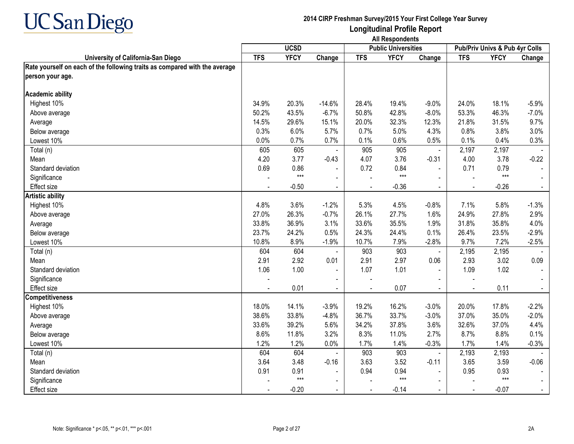

|                                                                            | <b>UCSD</b> |             |                          |            | <b>Public Universities</b> |                | <b>Pub/Priv Univs &amp; Pub 4yr Colls</b> |             |         |
|----------------------------------------------------------------------------|-------------|-------------|--------------------------|------------|----------------------------|----------------|-------------------------------------------|-------------|---------|
| University of California-San Diego                                         | <b>TFS</b>  | <b>YFCY</b> | Change                   | <b>TFS</b> | <b>YFCY</b>                | Change         | <b>TFS</b>                                | <b>YFCY</b> | Change  |
| Rate yourself on each of the following traits as compared with the average |             |             |                          |            |                            |                |                                           |             |         |
| person your age.                                                           |             |             |                          |            |                            |                |                                           |             |         |
|                                                                            |             |             |                          |            |                            |                |                                           |             |         |
| <b>Academic ability</b>                                                    |             |             |                          |            |                            |                |                                           |             |         |
| Highest 10%                                                                | 34.9%       | 20.3%       | $-14.6%$                 | 28.4%      | 19.4%                      | $-9.0%$        | 24.0%                                     | 18.1%       | $-5.9%$ |
| Above average                                                              | 50.2%       | 43.5%       | $-6.7%$                  | 50.8%      | 42.8%                      | $-8.0%$        | 53.3%                                     | 46.3%       | $-7.0%$ |
| Average                                                                    | 14.5%       | 29.6%       | 15.1%                    | 20.0%      | 32.3%                      | 12.3%          | 21.8%                                     | 31.5%       | 9.7%    |
| Below average                                                              | 0.3%        | 6.0%        | 5.7%                     | 0.7%       | 5.0%                       | 4.3%           | 0.8%                                      | 3.8%        | 3.0%    |
| Lowest 10%                                                                 | 0.0%        | 0.7%        | 0.7%                     | 0.1%       | 0.6%                       | 0.5%           | 0.1%                                      | 0.4%        | 0.3%    |
| Total (n)                                                                  | 605         | 605         |                          | 905        | 905                        | $\blacksquare$ | 2,197                                     | 2,197       |         |
| Mean                                                                       | 4.20        | 3.77        | $-0.43$                  | 4.07       | 3.76                       | $-0.31$        | 4.00                                      | 3.78        | $-0.22$ |
| Standard deviation                                                         | 0.69        | 0.86        |                          | 0.72       | 0.84                       | $\blacksquare$ | 0.71                                      | 0.79        |         |
| Significance                                                               |             | $***$       | $\overline{\phantom{a}}$ |            | $***$                      |                |                                           | $***$       |         |
| <b>Effect size</b>                                                         |             | $-0.50$     | $\mathbf{r}$             |            | $-0.36$                    |                |                                           | $-0.26$     |         |
| <b>Artistic ability</b>                                                    |             |             |                          |            |                            |                |                                           |             |         |
| Highest 10%                                                                | 4.8%        | 3.6%        | $-1.2%$                  | 5.3%       | 4.5%                       | $-0.8%$        | 7.1%                                      | 5.8%        | $-1.3%$ |
| Above average                                                              | 27.0%       | 26.3%       | $-0.7%$                  | 26.1%      | 27.7%                      | 1.6%           | 24.9%                                     | 27.8%       | 2.9%    |
| Average                                                                    | 33.8%       | 36.9%       | 3.1%                     | 33.6%      | 35.5%                      | 1.9%           | 31.8%                                     | 35.8%       | 4.0%    |
| Below average                                                              | 23.7%       | 24.2%       | 0.5%                     | 24.3%      | 24.4%                      | 0.1%           | 26.4%                                     | 23.5%       | $-2.9%$ |
| Lowest 10%                                                                 | 10.8%       | 8.9%        | $-1.9%$                  | 10.7%      | 7.9%                       | $-2.8%$        | 9.7%                                      | 7.2%        | $-2.5%$ |
| Total (n)                                                                  | 604         | 604         |                          | 903        | 903                        | $\blacksquare$ | 2,195                                     | 2,195       |         |
| Mean                                                                       | 2.91        | 2.92        | 0.01                     | 2.91       | 2.97                       | 0.06           | 2.93                                      | 3.02        | 0.09    |
| Standard deviation                                                         | 1.06        | 1.00        | $\blacksquare$           | 1.07       | 1.01                       |                | 1.09                                      | 1.02        |         |
| Significance                                                               |             |             | $\blacksquare$           |            |                            |                |                                           |             |         |
| Effect size                                                                |             | 0.01        | $\blacksquare$           |            | 0.07                       |                | $\blacksquare$                            | 0.11        |         |
| <b>Competitiveness</b>                                                     |             |             |                          |            |                            |                |                                           |             |         |
| Highest 10%                                                                | 18.0%       | 14.1%       | $-3.9%$                  | 19.2%      | 16.2%                      | $-3.0%$        | 20.0%                                     | 17.8%       | $-2.2%$ |
| Above average                                                              | 38.6%       | 33.8%       | $-4.8%$                  | 36.7%      | 33.7%                      | $-3.0%$        | 37.0%                                     | 35.0%       | $-2.0%$ |
| Average                                                                    | 33.6%       | 39.2%       | 5.6%                     | 34.2%      | 37.8%                      | 3.6%           | 32.6%                                     | 37.0%       | 4.4%    |
| Below average                                                              | 8.6%        | 11.8%       | 3.2%                     | 8.3%       | 11.0%                      | 2.7%           | 8.7%                                      | 8.8%        | 0.1%    |
| Lowest 10%                                                                 | 1.2%        | 1.2%        | 0.0%                     | 1.7%       | 1.4%                       | $-0.3%$        | 1.7%                                      | 1.4%        | $-0.3%$ |
| Total (n)                                                                  | 604         | 604         |                          | 903        | 903                        | $\blacksquare$ | 2,193                                     | 2,193       |         |
| Mean                                                                       | 3.64        | 3.48        | $-0.16$                  | 3.63       | 3.52                       | $-0.11$        | 3.65                                      | 3.59        | $-0.06$ |
| Standard deviation                                                         | 0.91        | 0.91        | $\blacksquare$           | 0.94       | 0.94                       |                | 0.95                                      | 0.93        |         |
| Significance                                                               |             | $***$       |                          |            | $***$                      |                |                                           | $***$       |         |
| Effect size                                                                |             | $-0.20$     | $\blacksquare$           |            | $-0.14$                    |                | $\overline{\phantom{a}}$                  | $-0.07$     |         |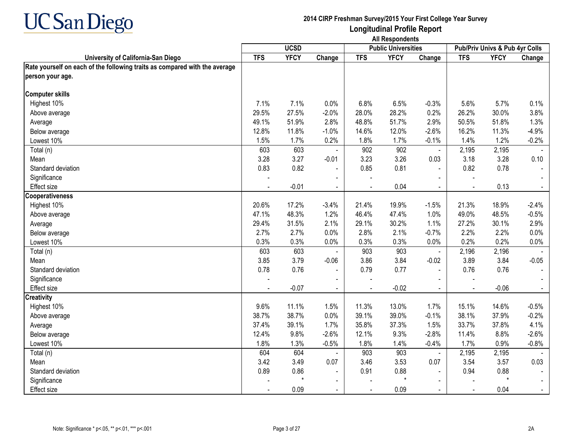

|                                                                            |            | <b>UCSD</b> |                |            | <b>Public Universities</b> |                |            | <b>Pub/Priv Univs &amp; Pub 4yr Colls</b> |         |
|----------------------------------------------------------------------------|------------|-------------|----------------|------------|----------------------------|----------------|------------|-------------------------------------------|---------|
| University of California-San Diego                                         | <b>TFS</b> | <b>YFCY</b> | Change         | <b>TFS</b> | <b>YFCY</b>                | Change         | <b>TFS</b> | <b>YFCY</b>                               | Change  |
| Rate yourself on each of the following traits as compared with the average |            |             |                |            |                            |                |            |                                           |         |
| person your age.                                                           |            |             |                |            |                            |                |            |                                           |         |
|                                                                            |            |             |                |            |                            |                |            |                                           |         |
| <b>Computer skills</b>                                                     |            |             |                |            |                            |                |            |                                           |         |
| Highest 10%                                                                | 7.1%       | 7.1%        | 0.0%           | 6.8%       | 6.5%                       | $-0.3%$        | 5.6%       | 5.7%                                      | 0.1%    |
| Above average                                                              | 29.5%      | 27.5%       | $-2.0%$        | 28.0%      | 28.2%                      | 0.2%           | 26.2%      | 30.0%                                     | 3.8%    |
| Average                                                                    | 49.1%      | 51.9%       | 2.8%           | 48.8%      | 51.7%                      | 2.9%           | 50.5%      | 51.8%                                     | 1.3%    |
| Below average                                                              | 12.8%      | 11.8%       | $-1.0%$        | 14.6%      | 12.0%                      | $-2.6%$        | 16.2%      | 11.3%                                     | $-4.9%$ |
| Lowest 10%                                                                 | 1.5%       | 1.7%        | 0.2%           | 1.8%       | 1.7%                       | $-0.1%$        | 1.4%       | 1.2%                                      | $-0.2%$ |
| Total (n)                                                                  | 603        | 603         |                | 902        | 902                        | $\blacksquare$ | 2,195      | 2,195                                     |         |
| Mean                                                                       | 3.28       | 3.27        | $-0.01$        | 3.23       | 3.26                       | 0.03           | 3.18       | 3.28                                      | 0.10    |
| Standard deviation                                                         | 0.83       | 0.82        |                | 0.85       | 0.81                       |                | 0.82       | 0.78                                      |         |
| Significance                                                               |            |             |                |            |                            |                |            |                                           |         |
| Effect size                                                                |            | $-0.01$     | $\mathbf{r}$   |            | 0.04                       |                |            | 0.13                                      |         |
| <b>Cooperativeness</b>                                                     |            |             |                |            |                            |                |            |                                           |         |
| Highest 10%                                                                | 20.6%      | 17.2%       | $-3.4%$        | 21.4%      | 19.9%                      | $-1.5%$        | 21.3%      | 18.9%                                     | $-2.4%$ |
| Above average                                                              | 47.1%      | 48.3%       | 1.2%           | 46.4%      | 47.4%                      | 1.0%           | 49.0%      | 48.5%                                     | $-0.5%$ |
| Average                                                                    | 29.4%      | 31.5%       | 2.1%           | 29.1%      | 30.2%                      | 1.1%           | 27.2%      | 30.1%                                     | 2.9%    |
| Below average                                                              | 2.7%       | 2.7%        | 0.0%           | 2.8%       | 2.1%                       | $-0.7%$        | 2.2%       | 2.2%                                      | 0.0%    |
| Lowest 10%                                                                 | 0.3%       | 0.3%        | 0.0%           | 0.3%       | 0.3%                       | 0.0%           | 0.2%       | 0.2%                                      | 0.0%    |
| Total (n)                                                                  | 603        | 603         |                | 903        | 903                        | $\blacksquare$ | 2,196      | 2,196                                     |         |
| Mean                                                                       | 3.85       | 3.79        | $-0.06$        | 3.86       | 3.84                       | $-0.02$        | 3.89       | 3.84                                      | $-0.05$ |
| Standard deviation                                                         | 0.78       | 0.76        | $\blacksquare$ | 0.79       | 0.77                       |                | 0.76       | 0.76                                      |         |
| Significance                                                               |            |             |                |            |                            |                |            |                                           |         |
| Effect size                                                                |            | $-0.07$     | $\blacksquare$ |            | $-0.02$                    |                | ÷,         | $-0.06$                                   |         |
| <b>Creativity</b>                                                          |            |             |                |            |                            |                |            |                                           |         |
| Highest 10%                                                                | 9.6%       | 11.1%       | 1.5%           | 11.3%      | 13.0%                      | 1.7%           | 15.1%      | 14.6%                                     | $-0.5%$ |
| Above average                                                              | 38.7%      | 38.7%       | 0.0%           | 39.1%      | 39.0%                      | $-0.1%$        | 38.1%      | 37.9%                                     | $-0.2%$ |
| Average                                                                    | 37.4%      | 39.1%       | 1.7%           | 35.8%      | 37.3%                      | 1.5%           | 33.7%      | 37.8%                                     | 4.1%    |
| Below average                                                              | 12.4%      | 9.8%        | $-2.6%$        | 12.1%      | 9.3%                       | $-2.8%$        | 11.4%      | 8.8%                                      | $-2.6%$ |
| Lowest 10%                                                                 | 1.8%       | 1.3%        | $-0.5%$        | 1.8%       | 1.4%                       | $-0.4%$        | 1.7%       | 0.9%                                      | $-0.8%$ |
| Total (n)                                                                  | 604        | 604         |                | 903        | 903                        | $\blacksquare$ | 2,195      | 2,195                                     |         |
| Mean                                                                       | 3.42       | 3.49        | 0.07           | 3.46       | 3.53                       | 0.07           | 3.54       | 3.57                                      | 0.03    |
| Standard deviation                                                         | 0.89       | 0.86        |                | 0.91       | 0.88                       |                | 0.94       | 0.88                                      |         |
| Significance                                                               |            |             | $\blacksquare$ |            | $\star$                    |                |            | $\star$                                   |         |
| Effect size                                                                |            | 0.09        |                |            | 0.09                       |                |            | 0.04                                      |         |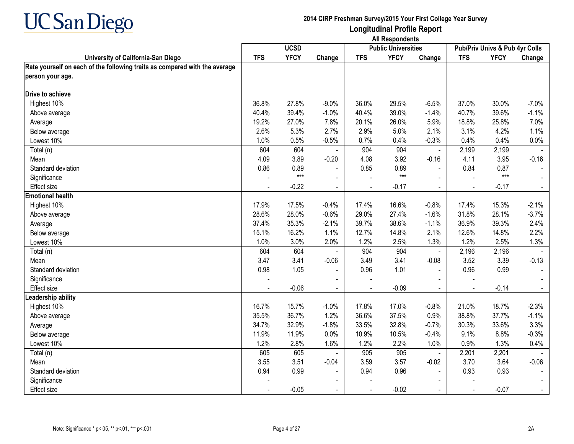

|                                                                            |            | <b>UCSD</b> |                |            | <b>Public Universities</b> |                |            | Pub/Priv Univs & Pub 4yr Colls |         |
|----------------------------------------------------------------------------|------------|-------------|----------------|------------|----------------------------|----------------|------------|--------------------------------|---------|
| University of California-San Diego                                         | <b>TFS</b> | <b>YFCY</b> | Change         | <b>TFS</b> | <b>YFCY</b>                | Change         | <b>TFS</b> | <b>YFCY</b>                    | Change  |
| Rate yourself on each of the following traits as compared with the average |            |             |                |            |                            |                |            |                                |         |
| person your age.                                                           |            |             |                |            |                            |                |            |                                |         |
|                                                                            |            |             |                |            |                            |                |            |                                |         |
| Drive to achieve                                                           |            |             |                |            |                            |                |            |                                |         |
| Highest 10%                                                                | 36.8%      | 27.8%       | $-9.0%$        | 36.0%      | 29.5%                      | $-6.5%$        | 37.0%      | 30.0%                          | $-7.0%$ |
| Above average                                                              | 40.4%      | 39.4%       | $-1.0%$        | 40.4%      | 39.0%                      | $-1.4%$        | 40.7%      | 39.6%                          | $-1.1%$ |
| Average                                                                    | 19.2%      | 27.0%       | 7.8%           | 20.1%      | 26.0%                      | 5.9%           | 18.8%      | 25.8%                          | 7.0%    |
| Below average                                                              | 2.6%       | 5.3%        | 2.7%           | 2.9%       | 5.0%                       | 2.1%           | 3.1%       | 4.2%                           | 1.1%    |
| Lowest 10%                                                                 | 1.0%       | 0.5%        | $-0.5%$        | 0.7%       | 0.4%                       | $-0.3%$        | 0.4%       | 0.4%                           | 0.0%    |
| Total (n)                                                                  | 604        | 604         |                | 904        | 904                        | $\blacksquare$ | 2,199      | 2,199                          |         |
| Mean                                                                       | 4.09       | 3.89        | $-0.20$        | 4.08       | 3.92                       | $-0.16$        | 4.11       | 3.95                           | $-0.16$ |
| Standard deviation                                                         | 0.86       | 0.89        |                | 0.85       | 0.89                       |                | 0.84       | 0.87                           |         |
| Significance                                                               |            | $***$       | $\sim$         |            | $***$                      |                |            | $***$                          |         |
| <b>Effect size</b>                                                         |            | $-0.22$     |                |            | $-0.17$                    |                |            | $-0.17$                        |         |
| <b>Emotional health</b>                                                    |            |             |                |            |                            |                |            |                                |         |
| Highest 10%                                                                | 17.9%      | 17.5%       | $-0.4%$        | 17.4%      | 16.6%                      | $-0.8%$        | 17.4%      | 15.3%                          | $-2.1%$ |
| Above average                                                              | 28.6%      | 28.0%       | $-0.6%$        | 29.0%      | 27.4%                      | $-1.6%$        | 31.8%      | 28.1%                          | $-3.7%$ |
| Average                                                                    | 37.4%      | 35.3%       | $-2.1%$        | 39.7%      | 38.6%                      | $-1.1%$        | 36.9%      | 39.3%                          | 2.4%    |
| Below average                                                              | 15.1%      | 16.2%       | 1.1%           | 12.7%      | 14.8%                      | 2.1%           | 12.6%      | 14.8%                          | 2.2%    |
| Lowest 10%                                                                 | 1.0%       | 3.0%        | 2.0%           | 1.2%       | 2.5%                       | 1.3%           | 1.2%       | 2.5%                           | 1.3%    |
| Total (n)                                                                  | 604        | 604         |                | 904        | 904                        | $\blacksquare$ | 2,196      | 2,196                          |         |
| Mean                                                                       | 3.47       | 3.41        | $-0.06$        | 3.49       | 3.41                       | $-0.08$        | 3.52       | 3.39                           | $-0.13$ |
| Standard deviation                                                         | 0.98       | 1.05        | $\blacksquare$ | 0.96       | 1.01                       | $\blacksquare$ | 0.96       | 0.99                           |         |
| Significance                                                               |            |             |                |            |                            |                |            |                                |         |
| <b>Effect size</b>                                                         |            | $-0.06$     |                |            | $-0.09$                    |                |            | $-0.14$                        |         |
| Leadership ability                                                         |            |             |                |            |                            |                |            |                                |         |
| Highest 10%                                                                | 16.7%      | 15.7%       | $-1.0%$        | 17.8%      | 17.0%                      | $-0.8%$        | 21.0%      | 18.7%                          | $-2.3%$ |
| Above average                                                              | 35.5%      | 36.7%       | 1.2%           | 36.6%      | 37.5%                      | 0.9%           | 38.8%      | 37.7%                          | $-1.1%$ |
| Average                                                                    | 34.7%      | 32.9%       | $-1.8%$        | 33.5%      | 32.8%                      | $-0.7%$        | 30.3%      | 33.6%                          | 3.3%    |
| Below average                                                              | 11.9%      | 11.9%       | 0.0%           | 10.9%      | 10.5%                      | $-0.4%$        | 9.1%       | 8.8%                           | $-0.3%$ |
| Lowest 10%                                                                 | 1.2%       | 2.8%        | 1.6%           | 1.2%       | 2.2%                       | 1.0%           | 0.9%       | 1.3%                           | 0.4%    |
| Total (n)                                                                  | 605        | 605         |                | 905        | 905                        | $\blacksquare$ | 2,201      | 2,201                          |         |
| Mean                                                                       | 3.55       | 3.51        | $-0.04$        | 3.59       | 3.57                       | $-0.02$        | 3.70       | 3.64                           | $-0.06$ |
| Standard deviation                                                         | 0.94       | 0.99        |                | 0.94       | 0.96                       |                | 0.93       | 0.93                           |         |
| Significance                                                               |            |             |                |            |                            |                |            |                                |         |
| Effect size                                                                |            | $-0.05$     |                |            | $-0.02$                    |                |            | $-0.07$                        |         |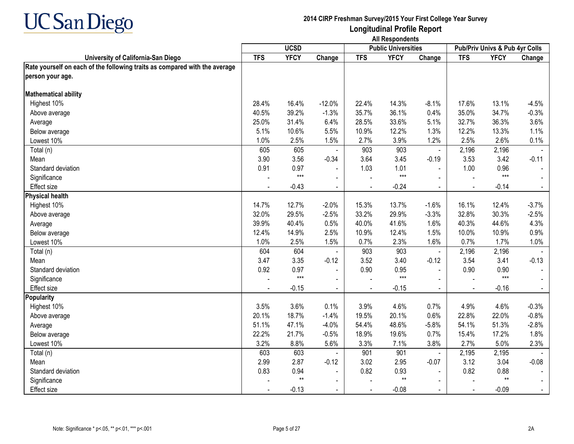

|                                                                            | <b>UCSD</b> |             |                |            | <b>Public Universities</b> |                | Pub/Priv Univs & Pub 4yr Colls |                 |                |
|----------------------------------------------------------------------------|-------------|-------------|----------------|------------|----------------------------|----------------|--------------------------------|-----------------|----------------|
| University of California-San Diego                                         | <b>TFS</b>  | <b>YFCY</b> | Change         | <b>TFS</b> | <b>YFCY</b>                | Change         | <b>TFS</b>                     | <b>YFCY</b>     | Change         |
| Rate yourself on each of the following traits as compared with the average |             |             |                |            |                            |                |                                |                 |                |
| person your age.                                                           |             |             |                |            |                            |                |                                |                 |                |
|                                                                            |             |             |                |            |                            |                |                                |                 |                |
| <b>Mathematical ability</b>                                                |             |             |                |            |                            |                |                                |                 |                |
| Highest 10%                                                                | 28.4%       | 16.4%       | $-12.0%$       | 22.4%      | 14.3%                      | $-8.1%$        | 17.6%                          | 13.1%           | $-4.5%$        |
| Above average                                                              | 40.5%       | 39.2%       | $-1.3%$        | 35.7%      | 36.1%                      | 0.4%           | 35.0%                          | 34.7%           | $-0.3%$        |
| Average                                                                    | 25.0%       | 31.4%       | 6.4%           | 28.5%      | 33.6%                      | 5.1%           | 32.7%                          | 36.3%           | 3.6%           |
| Below average                                                              | 5.1%        | 10.6%       | 5.5%           | 10.9%      | 12.2%                      | 1.3%           | 12.2%                          | 13.3%           | 1.1%           |
| Lowest 10%                                                                 | 1.0%        | 2.5%        | 1.5%           | 2.7%       | 3.9%                       | 1.2%           | 2.5%                           | 2.6%            | 0.1%           |
| Total (n)                                                                  | 605         | 605         |                | 903        | 903                        | ä,             | 2,196                          | 2,196           |                |
| Mean                                                                       | 3.90        | 3.56        | $-0.34$        | 3.64       | 3.45                       | $-0.19$        | 3.53                           | 3.42            | $-0.11$        |
| Standard deviation                                                         | 0.91        | 0.97        |                | 1.03       | 1.01                       |                | 1.00                           | 0.96            |                |
| Significance                                                               |             | $***$       | $\blacksquare$ |            | $***$                      |                |                                | $***$           |                |
| <b>Effect size</b>                                                         |             | $-0.43$     | $\mathbf{r}$   |            | $-0.24$                    | $\blacksquare$ | $\overline{a}$                 | $-0.14$         | $\blacksquare$ |
| <b>Physical health</b>                                                     |             |             |                |            |                            |                |                                |                 |                |
| Highest 10%                                                                | 14.7%       | 12.7%       | $-2.0%$        | 15.3%      | 13.7%                      | $-1.6%$        | 16.1%                          | 12.4%           | $-3.7%$        |
| Above average                                                              | 32.0%       | 29.5%       | $-2.5%$        | 33.2%      | 29.9%                      | $-3.3%$        | 32.8%                          | 30.3%           | $-2.5%$        |
| Average                                                                    | 39.9%       | 40.4%       | 0.5%           | 40.0%      | 41.6%                      | 1.6%           | 40.3%                          | 44.6%           | 4.3%           |
| Below average                                                              | 12.4%       | 14.9%       | 2.5%           | 10.9%      | 12.4%                      | 1.5%           | 10.0%                          | 10.9%           | 0.9%           |
| Lowest 10%                                                                 | 1.0%        | 2.5%        | 1.5%           | 0.7%       | 2.3%                       | 1.6%           | 0.7%                           | 1.7%            | 1.0%           |
| Total (n)                                                                  | 604         | 604         |                | 903        | 903                        | $\blacksquare$ | 2,196                          | 2,196           |                |
| Mean                                                                       | 3.47        | 3.35        | $-0.12$        | 3.52       | 3.40                       | $-0.12$        | 3.54                           | 3.41            | $-0.13$        |
| Standard deviation                                                         | 0.92        | 0.97        | $\blacksquare$ | 0.90       | 0.95                       |                | 0.90                           | 0.90            |                |
| Significance                                                               |             | $***$       | $\blacksquare$ |            | $***$                      |                |                                | $***$           |                |
| Effect size                                                                |             | $-0.15$     |                |            | $-0.15$                    |                | $\overline{a}$                 | $-0.16$         |                |
| Popularity                                                                 |             |             |                |            |                            |                |                                |                 |                |
| Highest 10%                                                                | 3.5%        | 3.6%        | 0.1%           | 3.9%       | 4.6%                       | 0.7%           | 4.9%                           | 4.6%            | $-0.3%$        |
| Above average                                                              | 20.1%       | 18.7%       | $-1.4%$        | 19.5%      | 20.1%                      | 0.6%           | 22.8%                          | 22.0%           | $-0.8%$        |
| Average                                                                    | 51.1%       | 47.1%       | $-4.0%$        | 54.4%      | 48.6%                      | $-5.8%$        | 54.1%                          | 51.3%           | $-2.8%$        |
| Below average                                                              | 22.2%       | 21.7%       | $-0.5%$        | 18.9%      | 19.6%                      | 0.7%           | 15.4%                          | 17.2%           | 1.8%           |
| Lowest 10%                                                                 | 3.2%        | 8.8%        | 5.6%           | 3.3%       | 7.1%                       | 3.8%           | 2.7%                           | 5.0%            | 2.3%           |
| Total (n)                                                                  | 603         | 603         |                | 901        | 901                        | $\blacksquare$ | 2,195                          | 2,195           |                |
| Mean                                                                       | 2.99        | 2.87        | $-0.12$        | 3.02       | 2.95                       | $-0.07$        | 3.12                           | 3.04            | $-0.08$        |
| Standard deviation                                                         | 0.83        | 0.94        | $\blacksquare$ | 0.82       | 0.93                       | $\blacksquare$ | 0.82                           | 0.88            |                |
| Significance                                                               |             | $**$        | $\blacksquare$ |            | $^{\star\star}$            |                |                                | $^{\star\star}$ |                |
| Effect size                                                                |             | $-0.13$     |                |            | $-0.08$                    |                |                                | $-0.09$         |                |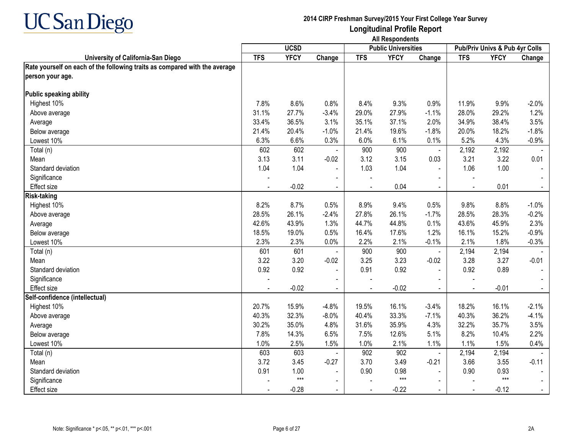

|                                                                            | <b>UCSD</b>  |              |                |              | <b>Public Universities</b> |                          | Pub/Priv Univs & Pub 4yr Colls |               |         |
|----------------------------------------------------------------------------|--------------|--------------|----------------|--------------|----------------------------|--------------------------|--------------------------------|---------------|---------|
| University of California-San Diego                                         | <b>TFS</b>   | <b>YFCY</b>  | Change         | <b>TFS</b>   | <b>YFCY</b>                | Change                   | <b>TFS</b>                     | <b>YFCY</b>   | Change  |
| Rate yourself on each of the following traits as compared with the average |              |              |                |              |                            |                          |                                |               |         |
| person your age.                                                           |              |              |                |              |                            |                          |                                |               |         |
| <b>Public speaking ability</b>                                             |              |              |                |              |                            |                          |                                |               |         |
| Highest 10%                                                                | 7.8%         | 8.6%         | 0.8%           | 8.4%         | 9.3%                       | 0.9%                     | 11.9%                          | 9.9%          | $-2.0%$ |
| Above average                                                              | 31.1%        | 27.7%        | $-3.4%$        | 29.0%        | 27.9%                      | $-1.1%$                  | 28.0%                          | 29.2%         | 1.2%    |
| Average                                                                    | 33.4%        | 36.5%        | 3.1%           | 35.1%        | 37.1%                      | 2.0%                     | 34.9%                          | 38.4%         | 3.5%    |
| Below average                                                              | 21.4%        | 20.4%        | $-1.0%$        | 21.4%        | 19.6%                      | $-1.8%$                  | 20.0%                          | 18.2%         | $-1.8%$ |
| Lowest 10%                                                                 | 6.3%         | 6.6%         | 0.3%           | 6.0%         | 6.1%                       | 0.1%                     | 5.2%                           | 4.3%          | $-0.9%$ |
| Total (n)                                                                  | 602          | 602          |                | 900          | 900                        | $\blacksquare$           | 2,192                          | 2,192         |         |
| Mean                                                                       | 3.13         | 3.11         | $-0.02$        | 3.12         | 3.15                       | 0.03                     | 3.21                           | 3.22          | 0.01    |
| Standard deviation                                                         | 1.04         | 1.04         | $\blacksquare$ | 1.03         | 1.04                       | $\blacksquare$           | 1.06                           | 1.00          |         |
| Significance                                                               |              |              |                |              |                            |                          |                                |               |         |
| <b>Effect size</b>                                                         |              | $-0.02$      |                |              | 0.04                       |                          |                                | 0.01          |         |
| <b>Risk-taking</b>                                                         |              |              |                |              |                            |                          |                                |               |         |
| Highest 10%                                                                | 8.2%         | 8.7%         | 0.5%           | 8.9%         | 9.4%                       | 0.5%                     | 9.8%                           | 8.8%          | $-1.0%$ |
|                                                                            | 28.5%        | 26.1%        | $-2.4%$        | 27.8%        | 26.1%                      | $-1.7%$                  | 28.5%                          | 28.3%         | $-0.2%$ |
| Above average                                                              | 42.6%        | 43.9%        | 1.3%           | 44.7%        | 44.8%                      | 0.1%                     | 43.6%                          | 45.9%         | 2.3%    |
| Average                                                                    | 18.5%        | 19.0%        | 0.5%           | 16.4%        | 17.6%                      | 1.2%                     | 16.1%                          | 15.2%         | $-0.9%$ |
| Below average<br>Lowest 10%                                                |              |              |                |              |                            |                          | 2.1%                           |               |         |
|                                                                            | 2.3%<br>601  | 2.3%<br>601  | 0.0%           | 2.2%         | 2.1%<br>900                | $-0.1%$                  |                                | 1.8%          | $-0.3%$ |
| Total (n)<br>Mean                                                          |              | 3.20         | $\blacksquare$ | 900<br>3.25  | 3.23                       | $\blacksquare$           | 2,194<br>3.28                  | 2,194<br>3.27 |         |
| Standard deviation                                                         | 3.22<br>0.92 | 0.92         | $-0.02$        | 0.91         | 0.92                       | $-0.02$                  | 0.92                           | 0.89          | $-0.01$ |
|                                                                            |              |              | $\blacksquare$ |              |                            | $\blacksquare$           |                                |               |         |
| Significance                                                               |              | $-0.02$      | $\mathbf{r}$   |              | $-0.02$                    |                          | $\overline{a}$                 | $-0.01$       |         |
| Effect size<br>Self-confidence (intellectual)                              |              |              |                |              |                            |                          |                                |               |         |
| Highest 10%                                                                | 20.7%        | 15.9%        | $-4.8%$        | 19.5%        | 16.1%                      | $-3.4%$                  | 18.2%                          | 16.1%         | $-2.1%$ |
|                                                                            | 40.3%        | 32.3%        | $-8.0%$        | 40.4%        | 33.3%                      | $-7.1%$                  | 40.3%                          | 36.2%         | $-4.1%$ |
| Above average                                                              | 30.2%        | 35.0%        | 4.8%           | 31.6%        | 35.9%                      | 4.3%                     | 32.2%                          | 35.7%         | 3.5%    |
| Average                                                                    | 7.8%         | 14.3%        | 6.5%           | 7.5%         | 12.6%                      | 5.1%                     | 8.2%                           | 10.4%         | 2.2%    |
| Below average<br>Lowest 10%                                                |              |              |                |              |                            |                          | 1.1%                           |               |         |
|                                                                            | 1.0%<br>603  | 2.5%<br>603  | 1.5%           | 1.0%<br>902  | 2.1%<br>902                | 1.1%                     | 2,194                          | 1.5%<br>2,194 | 0.4%    |
| Total (n)                                                                  |              |              |                |              |                            | $\overline{\phantom{a}}$ |                                |               |         |
| Mean                                                                       | 3.72         | 3.45<br>1.00 | $-0.27$        | 3.70<br>0.90 | 3.49                       | $-0.21$                  | 3.66                           | 3.55          | $-0.11$ |
| Standard deviation                                                         | 0.91         | $***$        | $\blacksquare$ |              | 0.98<br>$***$              |                          | 0.90                           | 0.93<br>$***$ |         |
| Significance                                                               |              |              | $\blacksquare$ |              |                            | $\sim$                   |                                |               |         |
| Effect size                                                                |              | $-0.28$      | $\blacksquare$ |              | $-0.22$                    |                          | $\overline{a}$                 | $-0.12$       |         |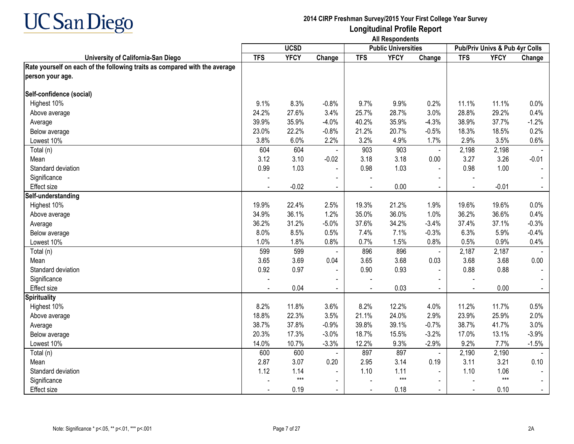

**Longitudinal Profile Report All Respondents**

|                                                                            | <b>UCSD</b> |             |                |            | <b>Public Universities</b> |                | Pub/Priv Univs & Pub 4yr Colls |             |         |
|----------------------------------------------------------------------------|-------------|-------------|----------------|------------|----------------------------|----------------|--------------------------------|-------------|---------|
| University of California-San Diego                                         | <b>TFS</b>  | <b>YFCY</b> | Change         | <b>TFS</b> | <b>YFCY</b>                | Change         | <b>TFS</b>                     | <b>YFCY</b> | Change  |
| Rate yourself on each of the following traits as compared with the average |             |             |                |            |                            |                |                                |             |         |
| person your age.                                                           |             |             |                |            |                            |                |                                |             |         |
| Self-confidence (social)                                                   |             |             |                |            |                            |                |                                |             |         |
| Highest 10%                                                                | 9.1%        | 8.3%        | $-0.8%$        | 9.7%       | 9.9%                       | 0.2%           | 11.1%                          | 11.1%       | 0.0%    |
| Above average                                                              | 24.2%       | 27.6%       | 3.4%           | 25.7%      | 28.7%                      | 3.0%           | 28.8%                          | 29.2%       | 0.4%    |
| Average                                                                    | 39.9%       | 35.9%       | $-4.0%$        | 40.2%      | 35.9%                      | $-4.3%$        | 38.9%                          | 37.7%       | $-1.2%$ |
| Below average                                                              | 23.0%       | 22.2%       | $-0.8%$        | 21.2%      | 20.7%                      | $-0.5%$        | 18.3%                          | 18.5%       | 0.2%    |
| Lowest 10%                                                                 | 3.8%        | 6.0%        | 2.2%           | 3.2%       | 4.9%                       | 1.7%           | 2.9%                           | 3.5%        | 0.6%    |
| Total (n)                                                                  | 604         | 604         |                | 903        | $\overline{903}$           | $\blacksquare$ | 2,198                          | 2,198       |         |
| Mean                                                                       | 3.12        | 3.10        | $-0.02$        | 3.18       | 3.18                       | 0.00           | 3.27                           | 3.26        | $-0.01$ |
| Standard deviation                                                         | 0.99        | 1.03        |                | 0.98       | 1.03                       | $\sim$         | 0.98                           | 1.00        |         |
| Significance                                                               |             |             |                |            |                            |                |                                |             |         |
| <b>Effect size</b>                                                         |             | $-0.02$     |                |            | 0.00                       | $\blacksquare$ |                                | $-0.01$     |         |
| Self-understanding                                                         |             |             |                |            |                            |                |                                |             |         |
| Highest 10%                                                                | 19.9%       | 22.4%       | 2.5%           | 19.3%      | 21.2%                      | 1.9%           | 19.6%                          | 19.6%       | 0.0%    |
| Above average                                                              | 34.9%       | 36.1%       | 1.2%           | 35.0%      | 36.0%                      | 1.0%           | 36.2%                          | 36.6%       | 0.4%    |
| Average                                                                    | 36.2%       | 31.2%       | $-5.0%$        | 37.6%      | 34.2%                      | $-3.4%$        | 37.4%                          | 37.1%       | $-0.3%$ |
| Below average                                                              | 8.0%        | 8.5%        | 0.5%           | 7.4%       | 7.1%                       | $-0.3%$        | 6.3%                           | 5.9%        | $-0.4%$ |
| Lowest 10%                                                                 | 1.0%        | 1.8%        | 0.8%           | 0.7%       | 1.5%                       | 0.8%           | 0.5%                           | 0.9%        | 0.4%    |
| Total (n)                                                                  | 599         | 599         |                | 896        | 896                        | $\blacksquare$ | 2,187                          | 2,187       |         |
| Mean                                                                       | 3.65        | 3.69        | 0.04           | 3.65       | 3.68                       | 0.03           | 3.68                           | 3.68        | 0.00    |
| Standard deviation                                                         | 0.92        | 0.97        | $\blacksquare$ | 0.90       | 0.93                       |                | 0.88                           | 0.88        |         |
| Significance                                                               |             |             |                |            |                            |                |                                |             |         |
| Effect size                                                                |             | 0.04        |                |            | 0.03                       |                |                                | 0.00        |         |
| <b>Spirituality</b>                                                        |             |             |                |            |                            |                |                                |             |         |
| Highest 10%                                                                | 8.2%        | 11.8%       | 3.6%           | 8.2%       | 12.2%                      | 4.0%           | 11.2%                          | 11.7%       | 0.5%    |
| Above average                                                              | 18.8%       | 22.3%       | 3.5%           | 21.1%      | 24.0%                      | 2.9%           | 23.9%                          | 25.9%       | 2.0%    |
| Average                                                                    | 38.7%       | 37.8%       | $-0.9%$        | 39.8%      | 39.1%                      | $-0.7%$        | 38.7%                          | 41.7%       | 3.0%    |
| Below average                                                              | 20.3%       | 17.3%       | $-3.0%$        | 18.7%      | 15.5%                      | $-3.2%$        | 17.0%                          | 13.1%       | $-3.9%$ |
| Lowest 10%                                                                 | 14.0%       | 10.7%       | $-3.3%$        | 12.2%      | 9.3%                       | $-2.9%$        | 9.2%                           | 7.7%        | $-1.5%$ |
| Total (n)                                                                  | 600         | 600         |                | 897        | 897                        |                | 2,190                          | 2,190       |         |
| Mean                                                                       | 2.87        | 3.07        | 0.20           | 2.95       | 3.14                       | 0.19           | 3.11                           | 3.21        | 0.10    |
| Standard deviation                                                         | 1.12        | 1.14        | $\blacksquare$ | 1.10       | 1.11                       |                | 1.10                           | 1.06        |         |
| Significance                                                               |             | $***$       |                |            | $***$                      |                |                                | $***$       |         |
| Effect size                                                                |             | 0.19        |                |            | 0.18                       |                |                                | 0.10        |         |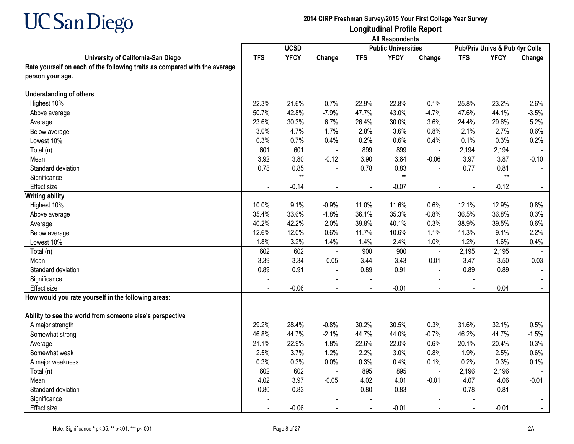

**Longitudinal Profile Report All Respondents**

|                                                                            |                | <b>UCSD</b> |                |            | <b>Public Universities</b> |                          |                | Pub/Priv Univs & Pub 4yr Colls |         |
|----------------------------------------------------------------------------|----------------|-------------|----------------|------------|----------------------------|--------------------------|----------------|--------------------------------|---------|
| University of California-San Diego                                         | <b>TFS</b>     | <b>YFCY</b> | Change         | <b>TFS</b> | <b>YFCY</b>                | Change                   | <b>TFS</b>     | <b>YFCY</b>                    | Change  |
| Rate yourself on each of the following traits as compared with the average |                |             |                |            |                            |                          |                |                                |         |
| person your age.                                                           |                |             |                |            |                            |                          |                |                                |         |
| <b>Understanding of others</b>                                             |                |             |                |            |                            |                          |                |                                |         |
| Highest 10%                                                                | 22.3%          | 21.6%       | $-0.7%$        | 22.9%      | 22.8%                      | $-0.1%$                  | 25.8%          | 23.2%                          | $-2.6%$ |
| Above average                                                              | 50.7%          | 42.8%       | $-7.9%$        | 47.7%      | 43.0%                      | $-4.7%$                  | 47.6%          | 44.1%                          | $-3.5%$ |
| Average                                                                    | 23.6%          | 30.3%       | 6.7%           | 26.4%      | 30.0%                      | 3.6%                     | 24.4%          | 29.6%                          | 5.2%    |
| Below average                                                              | 3.0%           | 4.7%        | 1.7%           | 2.8%       | 3.6%                       | 0.8%                     | 2.1%           | 2.7%                           | 0.6%    |
| Lowest 10%                                                                 | 0.3%           | 0.7%        | 0.4%           | 0.2%       | 0.6%                       | 0.4%                     | 0.1%           | 0.3%                           | 0.2%    |
| Total (n)                                                                  | 601            | 601         |                | 899        | 899                        | $\blacksquare$           | 2,194          | 2,194                          |         |
| Mean                                                                       | 3.92           | 3.80        | $-0.12$        | 3.90       | 3.84                       | $-0.06$                  | 3.97           | 3.87                           | $-0.10$ |
| Standard deviation                                                         | 0.78           | 0.85        | $\blacksquare$ | 0.78       | 0.83                       | $\blacksquare$           | 0.77           | 0.81                           |         |
| Significance                                                               |                | $**$        | $\blacksquare$ |            | $***$                      |                          |                | $**$                           |         |
| Effect size                                                                |                | $-0.14$     |                |            | $-0.07$                    |                          |                | $-0.12$                        |         |
| <b>Writing ability</b>                                                     |                |             |                |            |                            |                          |                |                                |         |
| Highest 10%                                                                | 10.0%          | 9.1%        | $-0.9%$        | 11.0%      | 11.6%                      | 0.6%                     | 12.1%          | 12.9%                          | 0.8%    |
| Above average                                                              | 35.4%          | 33.6%       | $-1.8%$        | 36.1%      | 35.3%                      | $-0.8%$                  | 36.5%          | 36.8%                          | 0.3%    |
| Average                                                                    | 40.2%          | 42.2%       | 2.0%           | 39.8%      | 40.1%                      | 0.3%                     | 38.9%          | 39.5%                          | 0.6%    |
| Below average                                                              | 12.6%          | 12.0%       | $-0.6%$        | 11.7%      | 10.6%                      | $-1.1%$                  | 11.3%          | 9.1%                           | $-2.2%$ |
| Lowest 10%                                                                 | 1.8%           | 3.2%        | 1.4%           | 1.4%       | 2.4%                       | 1.0%                     | 1.2%           | 1.6%                           | 0.4%    |
| Total (n)                                                                  | 602            | 602         |                | 900        | 900                        | $\overline{\phantom{a}}$ | 2,195          | 2,195                          |         |
| Mean                                                                       | 3.39           | 3.34        | $-0.05$        | 3.44       | 3.43                       | $-0.01$                  | 3.47           | 3.50                           | 0.03    |
| Standard deviation                                                         | 0.89           | 0.91        |                | 0.89       | 0.91                       |                          | 0.89           | 0.89                           |         |
| Significance                                                               |                |             |                |            |                            |                          |                |                                |         |
| Effect size                                                                | $\blacksquare$ | $-0.06$     | $\sim$         |            | $-0.01$                    | $\sim$                   | $\blacksquare$ | 0.04                           | $\sim$  |
| How would you rate yourself in the following areas:                        |                |             |                |            |                            |                          |                |                                |         |
| Ability to see the world from someone else's perspective                   |                |             |                |            |                            |                          |                |                                |         |
| A major strength                                                           | 29.2%          | 28.4%       | $-0.8%$        | 30.2%      | 30.5%                      | 0.3%                     | 31.6%          | 32.1%                          | 0.5%    |
| Somewhat strong                                                            | 46.8%          | 44.7%       | $-2.1%$        | 44.7%      | 44.0%                      | $-0.7%$                  | 46.2%          | 44.7%                          | $-1.5%$ |
| Average                                                                    | 21.1%          | 22.9%       | 1.8%           | 22.6%      | 22.0%                      | $-0.6%$                  | 20.1%          | 20.4%                          | 0.3%    |
| Somewhat weak                                                              | 2.5%           | 3.7%        | 1.2%           | 2.2%       | 3.0%                       | 0.8%                     | 1.9%           | 2.5%                           | 0.6%    |
| A major weakness                                                           | 0.3%           | 0.3%        | 0.0%           | 0.3%       | 0.4%                       | 0.1%                     | 0.2%           | 0.3%                           | 0.1%    |
| Total (n)                                                                  | 602            | 602         |                | 895        | 895                        | $\blacksquare$           | 2,196          | 2,196                          |         |
| Mean                                                                       | 4.02           | 3.97        | $-0.05$        | 4.02       | 4.01                       | $-0.01$                  | 4.07           | 4.06                           | $-0.01$ |
| Standard deviation                                                         | 0.80           | 0.83        | $\sim$         | 0.80       | 0.83                       |                          | 0.78           | 0.81                           |         |
| Significance                                                               |                |             |                |            |                            |                          |                |                                |         |
| Effect size                                                                |                | $-0.06$     |                |            | $-0.01$                    |                          |                | $-0.01$                        |         |
|                                                                            |                |             |                |            |                            |                          |                |                                |         |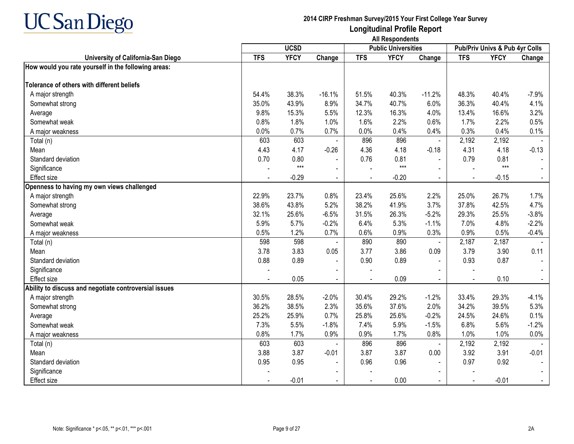

|                                                       |            | <b>UCSD</b> |                |            | <b>Public Universities</b> |                |                | Pub/Priv Univs & Pub 4yr Colls |                |
|-------------------------------------------------------|------------|-------------|----------------|------------|----------------------------|----------------|----------------|--------------------------------|----------------|
| University of California-San Diego                    | <b>TFS</b> | <b>YFCY</b> | Change         | <b>TFS</b> | <b>YFCY</b>                | Change         | <b>TFS</b>     | <b>YFCY</b>                    | Change         |
| How would you rate yourself in the following areas:   |            |             |                |            |                            |                |                |                                |                |
| Tolerance of others with different beliefs            |            |             |                |            |                            |                |                |                                |                |
| A major strength                                      | 54.4%      | 38.3%       | $-16.1%$       | 51.5%      | 40.3%                      | $-11.2%$       | 48.3%          | 40.4%                          | $-7.9%$        |
| Somewhat strong                                       | 35.0%      | 43.9%       | 8.9%           | 34.7%      | 40.7%                      | 6.0%           | 36.3%          | 40.4%                          | 4.1%           |
| Average                                               | 9.8%       | 15.3%       | 5.5%           | 12.3%      | 16.3%                      | 4.0%           | 13.4%          | 16.6%                          | 3.2%           |
| Somewhat weak                                         | 0.8%       | 1.8%        | 1.0%           | 1.6%       | 2.2%                       | 0.6%           | 1.7%           | 2.2%                           | 0.5%           |
| A major weakness                                      | 0.0%       | 0.7%        | 0.7%           | 0.0%       | 0.4%                       | 0.4%           | 0.3%           | 0.4%                           | 0.1%           |
| Total (n)                                             | 603        | 603         |                | 896        | 896                        | $\blacksquare$ | 2,192          | 2,192                          |                |
| Mean                                                  | 4.43       | 4.17        | $-0.26$        | 4.36       | 4.18                       | $-0.18$        | 4.31           | 4.18                           | $-0.13$        |
| Standard deviation                                    | 0.70       | 0.80        |                | 0.76       | 0.81                       | $\blacksquare$ | 0.79           | 0.81                           |                |
| Significance                                          |            | $***$       | $\blacksquare$ |            | $***$                      |                |                | $***$                          |                |
| <b>Effect size</b>                                    |            | $-0.29$     | $\blacksquare$ |            | $-0.20$                    | $\blacksquare$ |                | $-0.15$                        |                |
| Openness to having my own views challenged            |            |             |                |            |                            |                |                |                                |                |
| A major strength                                      | 22.9%      | 23.7%       | 0.8%           | 23.4%      | 25.6%                      | 2.2%           | 25.0%          | 26.7%                          | 1.7%           |
| Somewhat strong                                       | 38.6%      | 43.8%       | 5.2%           | 38.2%      | 41.9%                      | 3.7%           | 37.8%          | 42.5%                          | 4.7%           |
| Average                                               | 32.1%      | 25.6%       | $-6.5%$        | 31.5%      | 26.3%                      | $-5.2%$        | 29.3%          | 25.5%                          | $-3.8%$        |
| Somewhat weak                                         | 5.9%       | 5.7%        | $-0.2%$        | 6.4%       | 5.3%                       | $-1.1%$        | 7.0%           | 4.8%                           | $-2.2%$        |
| A major weakness                                      | 0.5%       | 1.2%        | 0.7%           | 0.6%       | 0.9%                       | 0.3%           | 0.9%           | 0.5%                           | $-0.4%$        |
| Total (n)                                             | 598        | 598         |                | 890        | 890                        | $\blacksquare$ | 2,187          | 2,187                          |                |
| Mean                                                  | 3.78       | 3.83        | 0.05           | 3.77       | 3.86                       | 0.09           | 3.79           | 3.90                           | 0.11           |
| Standard deviation                                    | 0.88       | 0.89        | $\blacksquare$ | 0.90       | 0.89                       | $\sim$         | 0.93           | 0.87                           |                |
| Significance                                          |            |             | $\blacksquare$ |            |                            |                |                |                                |                |
| Effect size                                           |            | 0.05        | $\blacksquare$ |            | 0.09                       | $\sim$         | $\blacksquare$ | 0.10                           | $\blacksquare$ |
| Ability to discuss and negotiate controversial issues |            |             |                |            |                            |                |                |                                |                |
| A major strength                                      | 30.5%      | 28.5%       | $-2.0%$        | 30.4%      | 29.2%                      | $-1.2%$        | 33.4%          | 29.3%                          | $-4.1%$        |
| Somewhat strong                                       | 36.2%      | 38.5%       | 2.3%           | 35.6%      | 37.6%                      | 2.0%           | 34.2%          | 39.5%                          | 5.3%           |
| Average                                               | 25.2%      | 25.9%       | 0.7%           | 25.8%      | 25.6%                      | $-0.2%$        | 24.5%          | 24.6%                          | 0.1%           |
| Somewhat weak                                         | 7.3%       | 5.5%        | $-1.8%$        | 7.4%       | 5.9%                       | $-1.5%$        | 6.8%           | 5.6%                           | $-1.2%$        |
| A major weakness                                      | 0.8%       | 1.7%        | 0.9%           | 0.9%       | 1.7%                       | 0.8%           | 1.0%           | 1.0%                           | 0.0%           |
| Total (n)                                             | 603        | 603         |                | 896        | 896                        | $\blacksquare$ | 2,192          | 2,192                          |                |
| Mean                                                  | 3.88       | 3.87        | $-0.01$        | 3.87       | 3.87                       | 0.00           | 3.92           | 3.91                           | $-0.01$        |
| Standard deviation                                    | 0.95       | 0.95        | $\blacksquare$ | 0.96       | 0.96                       |                | 0.97           | 0.92                           |                |
| Significance                                          |            |             |                |            |                            |                |                |                                |                |
| Effect size                                           |            | $-0.01$     |                |            | 0.00                       | $\blacksquare$ | $\sim$         | $-0.01$                        |                |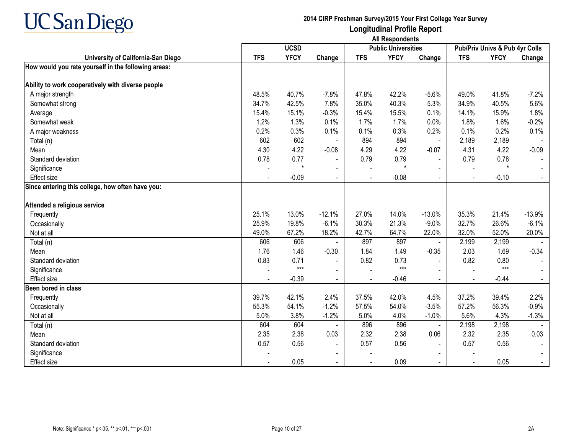

|                                                     | <b>UCSD</b> |             |                | <b>Public Universities</b> |             | Pub/Priv Univs & Pub 4yr Colls |                |             |          |
|-----------------------------------------------------|-------------|-------------|----------------|----------------------------|-------------|--------------------------------|----------------|-------------|----------|
| University of California-San Diego                  | <b>TFS</b>  | <b>YFCY</b> | Change         | <b>TFS</b>                 | <b>YFCY</b> | Change                         | <b>TFS</b>     | <b>YFCY</b> | Change   |
| How would you rate yourself in the following areas: |             |             |                |                            |             |                                |                |             |          |
|                                                     |             |             |                |                            |             |                                |                |             |          |
| Ability to work cooperatively with diverse people   |             |             |                |                            |             |                                |                |             |          |
| A major strength                                    | 48.5%       | 40.7%       | $-7.8%$        | 47.8%                      | 42.2%       | $-5.6%$                        | 49.0%          | 41.8%       | $-7.2%$  |
| Somewhat strong                                     | 34.7%       | 42.5%       | 7.8%           | 35.0%                      | 40.3%       | 5.3%                           | 34.9%          | 40.5%       | 5.6%     |
| Average                                             | 15.4%       | 15.1%       | $-0.3%$        | 15.4%                      | 15.5%       | 0.1%                           | 14.1%          | 15.9%       | 1.8%     |
| Somewhat weak                                       | 1.2%        | 1.3%        | 0.1%           | 1.7%                       | 1.7%        | 0.0%                           | 1.8%           | 1.6%        | $-0.2%$  |
| A major weakness                                    | 0.2%        | 0.3%        | 0.1%           | 0.1%                       | 0.3%        | 0.2%                           | 0.1%           | 0.2%        | 0.1%     |
| Total (n)                                           | 602         | 602         |                | 894                        | 894         | $\blacksquare$                 | 2,189          | 2,189       |          |
| Mean                                                | 4.30        | 4.22        | $-0.08$        | 4.29                       | 4.22        | $-0.07$                        | 4.31           | 4.22        | $-0.09$  |
| Standard deviation                                  | 0.78        | 0.77        | $\blacksquare$ | 0.79                       | 0.79        | $\blacksquare$                 | 0.79           | 0.78        |          |
| Significance                                        |             |             |                |                            | $\star$     |                                |                | $\star$     |          |
| Effect size                                         |             | $-0.09$     | $\blacksquare$ |                            | $-0.08$     | $\sim$                         | $\overline{a}$ | $-0.10$     |          |
| Since entering this college, how often have you:    |             |             |                |                            |             |                                |                |             |          |
| Attended a religious service                        |             |             |                |                            |             |                                |                |             |          |
| Frequently                                          | 25.1%       | 13.0%       | $-12.1%$       | 27.0%                      | 14.0%       | $-13.0%$                       | 35.3%          | 21.4%       | $-13.9%$ |
| Occasionally                                        | 25.9%       | 19.8%       | $-6.1%$        | 30.3%                      | 21.3%       | $-9.0%$                        | 32.7%          | 26.6%       | $-6.1%$  |
| Not at all                                          | 49.0%       | 67.2%       | 18.2%          | 42.7%                      | 64.7%       | 22.0%                          | 32.0%          | 52.0%       | 20.0%    |
| Total (n)                                           | 606         | 606         |                | 897                        | 897         |                                | 2,199          | 2,199       |          |
| Mean                                                | 1.76        | 1.46        | $-0.30$        | 1.84                       | 1.49        | $-0.35$                        | 2.03           | 1.69        | $-0.34$  |
| Standard deviation                                  | 0.83        | 0.71        | $\blacksquare$ | 0.82                       | 0.73        |                                | 0.82           | 0.80        |          |
| Significance                                        |             | $***$       | $\blacksquare$ |                            | $***$       |                                |                | $***$       |          |
| Effect size                                         |             | $-0.39$     | $\blacksquare$ |                            | $-0.46$     | $\sim$                         | $\blacksquare$ | $-0.44$     |          |
| Been bored in class                                 |             |             |                |                            |             |                                |                |             |          |
| Frequently                                          | 39.7%       | 42.1%       | 2.4%           | 37.5%                      | 42.0%       | 4.5%                           | 37.2%          | 39.4%       | 2.2%     |
| Occasionally                                        | 55.3%       | 54.1%       | $-1.2%$        | 57.5%                      | 54.0%       | $-3.5%$                        | 57.2%          | 56.3%       | $-0.9%$  |
| Not at all                                          | 5.0%        | 3.8%        | $-1.2%$        | 5.0%                       | 4.0%        | $-1.0%$                        | 5.6%           | 4.3%        | $-1.3%$  |
| Total $(n)$                                         | 604         | 604         |                | 896                        | 896         |                                | 2,198          | 2,198       |          |
| Mean                                                | 2.35        | 2.38        | 0.03           | 2.32                       | 2.38        | 0.06                           | 2.32           | 2.35        | 0.03     |
| Standard deviation                                  | 0.57        | 0.56        | $\blacksquare$ | 0.57                       | 0.56        | $\sim$                         | 0.57           | 0.56        |          |
| Significance                                        |             |             |                |                            |             |                                |                |             |          |
| <b>Effect size</b>                                  |             | 0.05        |                |                            | 0.09        | $\sim$                         |                | 0.05        |          |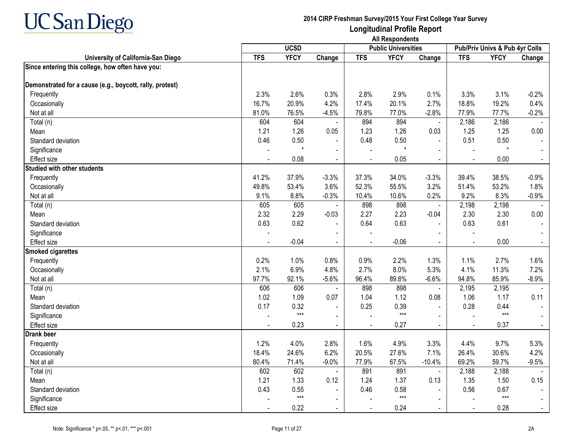

|                                                          |            | <b>UCSD</b> |                |                | <b>Public Universities</b> |                |                | Pub/Priv Univs & Pub 4yr Colls |                |
|----------------------------------------------------------|------------|-------------|----------------|----------------|----------------------------|----------------|----------------|--------------------------------|----------------|
| University of California-San Diego                       | <b>TFS</b> | <b>YFCY</b> | Change         | <b>TFS</b>     | <b>YFCY</b>                | Change         | <b>TFS</b>     | <b>YFCY</b>                    | Change         |
| Since entering this college, how often have you:         |            |             |                |                |                            |                |                |                                |                |
| Demonstrated for a cause (e.g., boycott, rally, protest) |            |             |                |                |                            |                |                |                                |                |
| Frequently                                               | 2.3%       | 2.6%        | 0.3%           | 2.8%           | 2.9%                       | 0.1%           | 3.3%           | 3.1%                           | $-0.2%$        |
| Occasionally                                             | 16.7%      | 20.9%       | 4.2%           | 17.4%          | 20.1%                      | 2.7%           | 18.8%          | 19.2%                          | 0.4%           |
| Not at all                                               | 81.0%      | 76.5%       | $-4.5%$        | 79.8%          | 77.0%                      | $-2.8%$        | 77.9%          | 77.7%                          | $-0.2%$        |
| Total (n)                                                | 604        | 604         | $\blacksquare$ | 894            | 894                        | $\blacksquare$ | 2,186          | 2,186                          |                |
| Mean                                                     | 1.21       | 1.26        | 0.05           | 1.23           | 1.26                       | 0.03           | 1.25           | 1.25                           | 0.00           |
| Standard deviation                                       | 0.46       | 0.50        | $\blacksquare$ | 0.48           | 0.50                       | $\sim$         | 0.51           | 0.50                           |                |
| Significance                                             |            |             | $\blacksquare$ |                | $\star$                    | $\sim$         | $\blacksquare$ | $\star$                        |                |
| Effect size                                              |            | 0.08        | $\blacksquare$ | $\sim$         | 0.05                       | $\sim$         | $\blacksquare$ | 0.00                           | $\sim$         |
| <b>Studied with other students</b>                       |            |             |                |                |                            |                |                |                                |                |
| Frequently                                               | 41.2%      | 37.9%       | $-3.3%$        | 37.3%          | 34.0%                      | $-3.3%$        | 39.4%          | 38.5%                          | $-0.9%$        |
| Occasionally                                             | 49.8%      | 53.4%       | 3.6%           | 52.3%          | 55.5%                      | 3.2%           | 51.4%          | 53.2%                          | 1.8%           |
| Not at all                                               | 9.1%       | 8.8%        | $-0.3%$        | 10.4%          | 10.6%                      | 0.2%           | 9.2%           | 8.3%                           | $-0.9%$        |
| Total (n)                                                | 605        | 605         | $\blacksquare$ | 898            | 898                        | $\omega$       | 2,198          | 2,198                          |                |
| Mean                                                     | 2.32       | 2.29        | $-0.03$        | 2.27           | 2.23                       | $-0.04$        | 2.30           | 2.30                           | 0.00           |
| Standard deviation                                       | 0.63       | 0.62        | $\blacksquare$ | 0.64           | 0.63                       | $\sim$         | 0.63           | 0.61                           |                |
| Significance                                             |            |             | $\blacksquare$ |                |                            | $\sim$         |                |                                |                |
| <b>Effect size</b>                                       |            | $-0.04$     | $\sim$         | $\overline{a}$ | $-0.06$                    | $\blacksquare$ | $\tilde{a}$    | 0.00                           |                |
| <b>Smoked cigarettes</b>                                 |            |             |                |                |                            |                |                |                                |                |
| Frequently                                               | 0.2%       | 1.0%        | 0.8%           | 0.9%           | 2.2%                       | 1.3%           | 1.1%           | 2.7%                           | 1.6%           |
| Occasionally                                             | 2.1%       | 6.9%        | 4.8%           | 2.7%           | 8.0%                       | 5.3%           | 4.1%           | 11.3%                          | 7.2%           |
| Not at all                                               | 97.7%      | 92.1%       | $-5.6%$        | 96.4%          | 89.8%                      | $-6.6%$        | 94.8%          | 85.9%                          | $-8.9%$        |
| Total (n)                                                | 606        | 606         |                | 898            | 898                        | $\blacksquare$ | 2,195          | 2,195                          |                |
| Mean                                                     | 1.02       | 1.09        | 0.07           | 1.04           | 1.12                       | 0.08           | 1.06           | 1.17                           | 0.11           |
| Standard deviation                                       | 0.17       | 0.32        |                | 0.25           | 0.39                       |                | 0.28           | 0.44                           |                |
| Significance                                             |            | $***$       | $\sim$         |                | $***$                      | $\sim$         | $\blacksquare$ | $***$                          |                |
| Effect size                                              |            | 0.23        | $\sim$         |                | 0.27                       | $\sim$         |                | 0.37                           |                |
| <b>Drank beer</b>                                        |            |             |                |                |                            |                |                |                                |                |
| Frequently                                               | 1.2%       | 4.0%        | 2.8%           | 1.6%           | 4.9%                       | 3.3%           | 4.4%           | 9.7%                           | 5.3%           |
| Occasionally                                             | 18.4%      | 24.6%       | 6.2%           | 20.5%          | 27.6%                      | 7.1%           | 26.4%          | 30.6%                          | 4.2%           |
| Not at all                                               | 80.4%      | 71.4%       | $-9.0%$        | 77.9%          | 67.5%                      | $-10.4%$       | 69.2%          | 59.7%                          | $-9.5%$        |
| Total (n)                                                | 602        | 602         | $\blacksquare$ | 891            | 891                        | $\blacksquare$ | 2,188          | 2,188                          |                |
| Mean                                                     | 1.21       | 1.33        | 0.12           | 1.24           | 1.37                       | 0.13           | 1.35           | 1.50                           | 0.15           |
| Standard deviation                                       | 0.43       | 0.55        | $\blacksquare$ | 0.46           | 0.58                       |                | 0.56           | 0.67                           |                |
| Significance                                             |            | $***$       | $\sim$         |                | $***$                      | $\sim$         |                | $***$                          |                |
| Effect size                                              |            | 0.22        | $\blacksquare$ | $\sim$         | 0.24                       | $\sim$         | $\blacksquare$ | 0.28                           | $\blacksquare$ |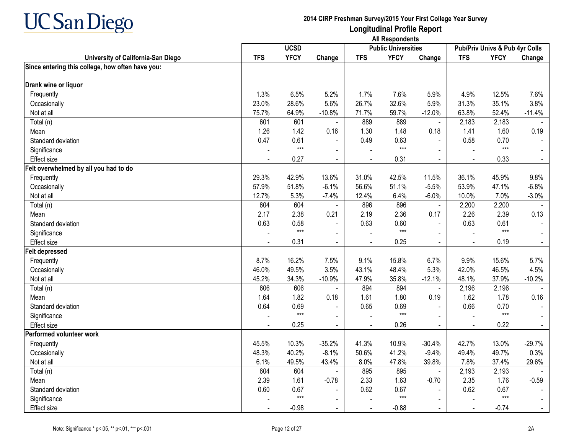

|                                                  |            | <b>UCSD</b>   |                          |                | <b>Public Universities</b> |                |                | Pub/Priv Univs & Pub 4yr Colls |          |
|--------------------------------------------------|------------|---------------|--------------------------|----------------|----------------------------|----------------|----------------|--------------------------------|----------|
| University of California-San Diego               | <b>TFS</b> | <b>YFCY</b>   | Change                   | <b>TFS</b>     | <b>YFCY</b>                | Change         | <b>TFS</b>     | <b>YFCY</b>                    | Change   |
| Since entering this college, how often have you: |            |               |                          |                |                            |                |                |                                |          |
| Drank wine or liquor                             |            |               |                          |                |                            |                |                |                                |          |
| Frequently                                       | 1.3%       | 6.5%          | 5.2%                     | 1.7%           | 7.6%                       | 5.9%           | 4.9%           | 12.5%                          | 7.6%     |
| Occasionally                                     | 23.0%      | 28.6%         | 5.6%                     | 26.7%          | 32.6%                      | 5.9%           | 31.3%          | 35.1%                          | 3.8%     |
| Not at all                                       | 75.7%      | 64.9%         | $-10.8%$                 | 71.7%          | 59.7%                      | $-12.0%$       | 63.8%          | 52.4%                          | $-11.4%$ |
| Total (n)                                        | 601        | 601           |                          | 889            | 889                        | $\blacksquare$ | 2,183          | 2,183                          |          |
| Mean                                             | 1.26       | 1.42          | 0.16                     | 1.30           | 1.48                       | 0.18           | 1.41           | 1.60                           | 0.19     |
| Standard deviation                               | 0.47       | 0.61          |                          | 0.49           | 0.63                       | $\sim$         | 0.58           | 0.70                           |          |
| Significance                                     |            | $***$         | $\sim$                   |                | $***$                      |                |                | $***$                          |          |
| Effect size                                      |            | 0.27          | $\blacksquare$           |                | 0.31                       | $\blacksquare$ | $\sim$         | 0.33                           |          |
| Felt overwhelmed by all you had to do            |            |               |                          |                |                            |                |                |                                |          |
| Frequently                                       | 29.3%      | 42.9%         | 13.6%                    | 31.0%          | 42.5%                      | 11.5%          | 36.1%          | 45.9%                          | 9.8%     |
| Occasionally                                     | 57.9%      | 51.8%         | $-6.1%$                  | 56.6%          | 51.1%                      | $-5.5%$        | 53.9%          | 47.1%                          | $-6.8%$  |
| Not at all                                       | 12.7%      | 5.3%          | $-7.4%$                  | 12.4%          | 6.4%                       | $-6.0%$        | 10.0%          | 7.0%                           | $-3.0%$  |
| Total (n)                                        | 604        | 604           |                          | 896            | 896                        | $\blacksquare$ | 2,200          | 2,200                          | $\sim$   |
| Mean                                             | 2.17       | 2.38          | 0.21                     | 2.19           | 2.36                       | 0.17           | 2.26           | 2.39                           | 0.13     |
| Standard deviation                               | 0.63       | 0.58          | $\blacksquare$           | 0.63           | 0.60                       | $\blacksquare$ | 0.63           | 0.61                           |          |
| Significance                                     |            | $***$         |                          |                | $***$                      |                |                | $***$                          |          |
| Effect size                                      |            | 0.31          |                          | $\blacksquare$ | 0.25                       | $\sim$         | $\blacksquare$ | 0.19                           |          |
| <b>Felt depressed</b>                            |            |               |                          |                |                            |                |                |                                |          |
| Frequently                                       | 8.7%       | 16.2%         | 7.5%                     | 9.1%           | 15.8%                      | 6.7%           | 9.9%           | 15.6%                          | 5.7%     |
| Occasionally                                     | 46.0%      | 49.5%         | 3.5%                     | 43.1%          | 48.4%                      | 5.3%           | 42.0%          | 46.5%                          | 4.5%     |
| Not at all                                       | 45.2%      | 34.3%         | $-10.9%$                 | 47.9%          | 35.8%                      | $-12.1%$       | 48.1%          | 37.9%                          | $-10.2%$ |
| Total (n)                                        | 606        | 606           |                          | 894            | 894                        | $\blacksquare$ | 2,196          | 2,196                          |          |
| Mean                                             | 1.64       | 1.82          | 0.18                     | 1.61           | 1.80                       | 0.19           | 1.62           | 1.78                           | 0.16     |
| Standard deviation                               | 0.64       | 0.69          |                          | 0.65           | 0.69                       |                | 0.66           | 0.70                           |          |
| Significance                                     |            | $***$         | $\overline{\phantom{a}}$ |                | $***$                      |                |                | $***$                          |          |
| Effect size                                      |            | 0.25          | $\blacksquare$           |                | 0.26                       | $\blacksquare$ |                | 0.22                           |          |
| Performed volunteer work                         |            |               |                          |                |                            |                |                |                                |          |
| Frequently                                       | 45.5%      | 10.3%         | $-35.2%$                 | 41.3%          | 10.9%                      | $-30.4%$       | 42.7%          | 13.0%                          | $-29.7%$ |
| Occasionally                                     | 48.3%      | 40.2%         | $-8.1%$                  | 50.6%          | 41.2%                      | $-9.4%$        | 49.4%          | 49.7%                          | 0.3%     |
| Not at all                                       | 6.1%       | 49.5%         | 43.4%                    | 8.0%           | 47.8%                      | 39.8%          | 7.8%           | 37.4%                          | 29.6%    |
| Total (n)                                        | 604        | 604           |                          | 895            | 895                        | $\blacksquare$ | 2,193          | 2,193                          |          |
| Mean                                             | 2.39       | 1.61          | $-0.78$                  | 2.33           | 1.63                       | $-0.70$        | 2.35           | 1.76                           | $-0.59$  |
| Standard deviation                               | 0.60       | 0.67<br>$***$ | $\blacksquare$           | 0.62           | 0.67<br>$***$              |                | 0.62           | 0.67<br>$***$                  |          |
| Significance                                     |            |               | $\sim$                   |                |                            |                |                |                                |          |
| Effect size                                      |            | $-0.98$       | $\blacksquare$           | $\sim$         | $-0.88$                    | $\blacksquare$ | $\blacksquare$ | $-0.74$                        |          |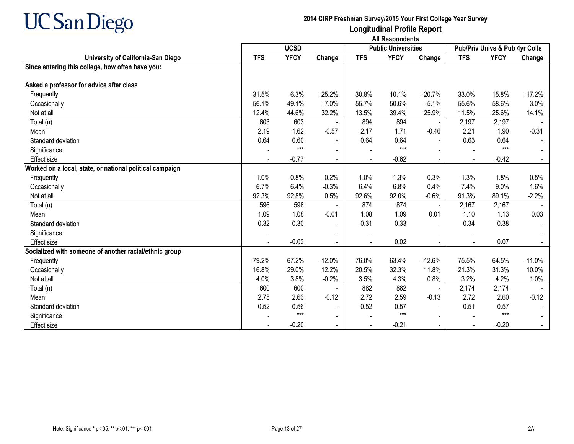

|                                                          |            | <b>UCSD</b> |                          |            | <b>Public Universities</b> |                |                | <b>Pub/Priv Univs &amp; Pub 4yr Colls</b> |          |
|----------------------------------------------------------|------------|-------------|--------------------------|------------|----------------------------|----------------|----------------|-------------------------------------------|----------|
| University of California-San Diego                       | <b>TFS</b> | <b>YFCY</b> | Change                   | <b>TFS</b> | <b>YFCY</b>                | Change         | <b>TFS</b>     | <b>YFCY</b>                               | Change   |
| Since entering this college, how often have you:         |            |             |                          |            |                            |                |                |                                           |          |
|                                                          |            |             |                          |            |                            |                |                |                                           |          |
| Asked a professor for advice after class                 |            |             |                          |            |                            |                |                |                                           |          |
| Frequently                                               | 31.5%      | 6.3%        | $-25.2%$                 | 30.8%      | 10.1%                      | $-20.7%$       | 33.0%          | 15.8%                                     | $-17.2%$ |
| Occasionally                                             | 56.1%      | 49.1%       | $-7.0%$                  | 55.7%      | 50.6%                      | $-5.1%$        | 55.6%          | 58.6%                                     | 3.0%     |
| Not at all                                               | 12.4%      | 44.6%       | 32.2%                    | 13.5%      | 39.4%                      | 25.9%          | 11.5%          | 25.6%                                     | 14.1%    |
| Total (n)                                                | 603        | 603         |                          | 894        | 894                        | $\blacksquare$ | 2,197          | 2,197                                     |          |
| Mean                                                     | 2.19       | 1.62        | $-0.57$                  | 2.17       | 1.71                       | $-0.46$        | 2.21           | 1.90                                      | $-0.31$  |
| Standard deviation                                       | 0.64       | 0.60        | $\overline{\phantom{a}}$ | 0.64       | 0.64                       | $\blacksquare$ | 0.63           | 0.64                                      |          |
| Significance                                             |            | $***$       |                          |            | $***$                      |                |                | $***$                                     |          |
| <b>Effect size</b>                                       |            | $-0.77$     | $\blacksquare$           |            | $-0.62$                    | $\blacksquare$ | $\blacksquare$ | $-0.42$                                   |          |
| Worked on a local, state, or national political campaign |            |             |                          |            |                            |                |                |                                           |          |
| Frequently                                               | 1.0%       | 0.8%        | $-0.2%$                  | 1.0%       | 1.3%                       | 0.3%           | 1.3%           | 1.8%                                      | 0.5%     |
| Occasionally                                             | 6.7%       | 6.4%        | $-0.3%$                  | 6.4%       | 6.8%                       | 0.4%           | 7.4%           | 9.0%                                      | 1.6%     |
| Not at all                                               | 92.3%      | 92.8%       | 0.5%                     | 92.6%      | 92.0%                      | $-0.6%$        | 91.3%          | 89.1%                                     | $-2.2%$  |
| Total $(n)$                                              | 596        | 596         |                          | 874        | 874                        | $\sim$         | 2,167          | 2,167                                     |          |
| Mean                                                     | 1.09       | 1.08        | $-0.01$                  | 1.08       | 1.09                       | 0.01           | 1.10           | 1.13                                      | 0.03     |
| Standard deviation                                       | 0.32       | 0.30        |                          | 0.31       | 0.33                       | $\blacksquare$ | 0.34           | 0.38                                      |          |
| Significance                                             |            |             |                          |            |                            |                |                |                                           |          |
| <b>Effect size</b>                                       |            | $-0.02$     |                          |            | 0.02                       |                | $\blacksquare$ | 0.07                                      |          |
| Socialized with someone of another racial/ethnic group   |            |             |                          |            |                            |                |                |                                           |          |
| Frequently                                               | 79.2%      | 67.2%       | $-12.0%$                 | 76.0%      | 63.4%                      | $-12.6%$       | 75.5%          | 64.5%                                     | $-11.0%$ |
| Occasionally                                             | 16.8%      | 29.0%       | 12.2%                    | 20.5%      | 32.3%                      | 11.8%          | 21.3%          | 31.3%                                     | 10.0%    |
| Not at all                                               | 4.0%       | 3.8%        | $-0.2%$                  | 3.5%       | 4.3%                       | 0.8%           | 3.2%           | 4.2%                                      | 1.0%     |
| Total (n)                                                | 600        | 600         |                          | 882        | 882                        | $\sim$         | 2,174          | 2,174                                     |          |
| Mean                                                     | 2.75       | 2.63        | $-0.12$                  | 2.72       | 2.59                       | $-0.13$        | 2.72           | 2.60                                      | $-0.12$  |
| Standard deviation                                       | 0.52       | 0.56        |                          | 0.52       | 0.57                       | $\blacksquare$ | 0.51           | 0.57                                      |          |
| Significance                                             |            | $***$       | $\overline{\phantom{0}}$ |            | $***$                      | $\sim$         |                | $***$                                     |          |
| <b>Effect size</b>                                       |            | $-0.20$     | $\blacksquare$           |            | $-0.21$                    | $\sim$         | $\blacksquare$ | $-0.20$                                   |          |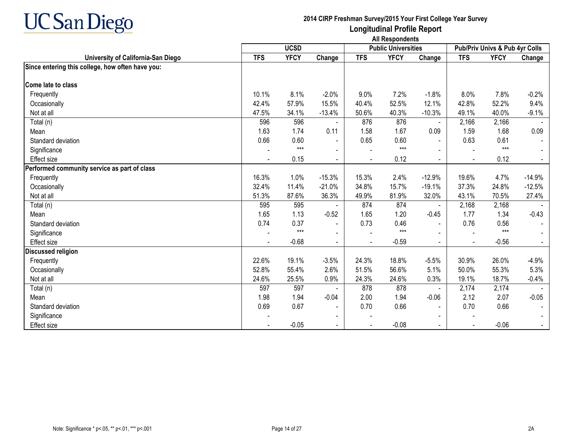

|                                                  |            | <b>UCSD</b> |                |            | <b>Public Universities</b> |                |                | Pub/Priv Univs & Pub 4yr Colls |          |
|--------------------------------------------------|------------|-------------|----------------|------------|----------------------------|----------------|----------------|--------------------------------|----------|
| University of California-San Diego               | <b>TFS</b> | <b>YFCY</b> | Change         | <b>TFS</b> | <b>YFCY</b>                | Change         | <b>TFS</b>     | <b>YFCY</b>                    | Change   |
| Since entering this college, how often have you: |            |             |                |            |                            |                |                |                                |          |
|                                                  |            |             |                |            |                            |                |                |                                |          |
| Come late to class                               |            |             |                |            |                            |                |                |                                |          |
| Frequently                                       | 10.1%      | 8.1%        | $-2.0%$        | 9.0%       | 7.2%                       | $-1.8%$        | 8.0%           | 7.8%                           | $-0.2%$  |
| Occasionally                                     | 42.4%      | 57.9%       | 15.5%          | 40.4%      | 52.5%                      | 12.1%          | 42.8%          | 52.2%                          | 9.4%     |
| Not at all                                       | 47.5%      | 34.1%       | $-13.4%$       | 50.6%      | 40.3%                      | $-10.3%$       | 49.1%          | 40.0%                          | $-9.1%$  |
| Total (n)                                        | 596        | 596         |                | 876        | 876                        | $\blacksquare$ | 2,166          | 2,166                          |          |
| Mean                                             | 1.63       | 1.74        | 0.11           | 1.58       | 1.67                       | 0.09           | 1.59           | 1.68                           | 0.09     |
| Standard deviation                               | 0.66       | 0.60        | $\blacksquare$ | 0.65       | 0.60                       | $\sim$         | 0.63           | 0.61                           |          |
| Significance                                     |            | $***$       |                |            | $***$                      |                |                | $***$                          |          |
| <b>Effect</b> size                               |            | 0.15        | $\blacksquare$ |            | 0.12                       | $\blacksquare$ | $\blacksquare$ | 0.12                           |          |
| Performed community service as part of class     |            |             |                |            |                            |                |                |                                |          |
| Frequently                                       | 16.3%      | 1.0%        | $-15.3%$       | 15.3%      | 2.4%                       | $-12.9%$       | 19.6%          | 4.7%                           | $-14.9%$ |
| Occasionally                                     | 32.4%      | 11.4%       | $-21.0%$       | 34.8%      | 15.7%                      | $-19.1%$       | 37.3%          | 24.8%                          | $-12.5%$ |
| Not at all                                       | 51.3%      | 87.6%       | 36.3%          | 49.9%      | 81.9%                      | 32.0%          | 43.1%          | 70.5%                          | 27.4%    |
| Total (n)                                        | 595        | 595         |                | 874        | 874                        | $\blacksquare$ | 2,168          | 2,168                          |          |
| Mean                                             | 1.65       | 1.13        | $-0.52$        | 1.65       | 1.20                       | $-0.45$        | 1.77           | 1.34                           | $-0.43$  |
| Standard deviation                               | 0.74       | 0.37        |                | 0.73       | 0.46                       | $\blacksquare$ | 0.76           | 0.56                           |          |
| Significance                                     |            | $***$       |                |            | $***$                      |                |                | $***$                          |          |
| <b>Effect size</b>                               |            | $-0.68$     |                |            | $-0.59$                    |                | $\blacksquare$ | $-0.56$                        |          |
| <b>Discussed religion</b>                        |            |             |                |            |                            |                |                |                                |          |
| Frequently                                       | 22.6%      | 19.1%       | $-3.5%$        | 24.3%      | 18.8%                      | $-5.5%$        | 30.9%          | 26.0%                          | $-4.9%$  |
| Occasionally                                     | 52.8%      | 55.4%       | 2.6%           | 51.5%      | 56.6%                      | 5.1%           | 50.0%          | 55.3%                          | 5.3%     |
| Not at all                                       | 24.6%      | 25.5%       | 0.9%           | 24.3%      | 24.6%                      | 0.3%           | 19.1%          | 18.7%                          | $-0.4%$  |
| Total (n)                                        | 597        | 597         |                | 878        | 878                        |                | 2,174          | 2,174                          |          |
| Mean                                             | 1.98       | 1.94        | $-0.04$        | 2.00       | 1.94                       | $-0.06$        | 2.12           | 2.07                           | $-0.05$  |
| Standard deviation                               | 0.69       | 0.67        | $\blacksquare$ | 0.70       | 0.66                       | $\blacksquare$ | 0.70           | 0.66                           |          |
| Significance                                     |            |             |                |            |                            |                |                |                                |          |
| <b>Effect size</b>                               |            | $-0.05$     | $\blacksquare$ |            | $-0.08$                    |                | $\blacksquare$ | $-0.06$                        |          |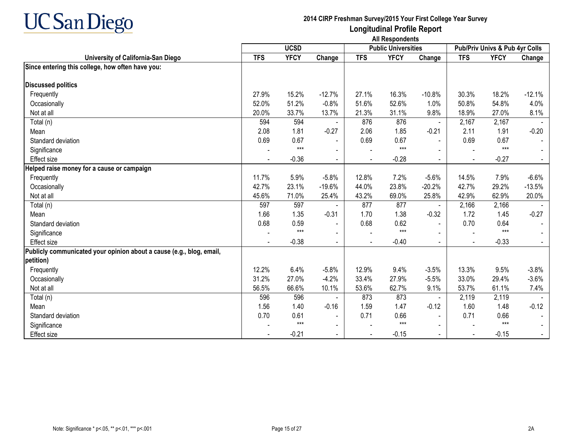

|                                                                      |            | <b>UCSD</b> |                |            | <b>Public Universities</b> |                          |                | Pub/Priv Univs & Pub 4yr Colls |          |
|----------------------------------------------------------------------|------------|-------------|----------------|------------|----------------------------|--------------------------|----------------|--------------------------------|----------|
| University of California-San Diego                                   | <b>TFS</b> | <b>YFCY</b> | Change         | <b>TFS</b> | <b>YFCY</b>                | Change                   | <b>TFS</b>     | <b>YFCY</b>                    | Change   |
| Since entering this college, how often have you:                     |            |             |                |            |                            |                          |                |                                |          |
|                                                                      |            |             |                |            |                            |                          |                |                                |          |
| <b>Discussed politics</b>                                            |            |             |                |            |                            |                          |                |                                |          |
| Frequently                                                           | 27.9%      | 15.2%       | $-12.7%$       | 27.1%      | 16.3%                      | $-10.8%$                 | 30.3%          | 18.2%                          | $-12.1%$ |
| Occasionally                                                         | 52.0%      | 51.2%       | $-0.8%$        | 51.6%      | 52.6%                      | 1.0%                     | 50.8%          | 54.8%                          | 4.0%     |
| Not at all                                                           | 20.0%      | 33.7%       | 13.7%          | 21.3%      | 31.1%                      | 9.8%                     | 18.9%          | 27.0%                          | 8.1%     |
| Total (n)                                                            | 594        | 594         |                | 876        | 876                        |                          | 2,167          | 2,167                          |          |
| Mean                                                                 | 2.08       | 1.81        | $-0.27$        | 2.06       | 1.85                       | $-0.21$                  | 2.11           | 1.91                           | $-0.20$  |
| Standard deviation                                                   | 0.69       | 0.67        | $\blacksquare$ | 0.69       | 0.67                       |                          | 0.69           | 0.67                           |          |
| Significance                                                         |            | $***$       |                |            | $***$                      |                          |                | $***$                          |          |
| Effect size                                                          |            | $-0.36$     | $\blacksquare$ |            | $-0.28$                    | $\sim$                   |                | $-0.27$                        |          |
| Helped raise money for a cause or campaign                           |            |             |                |            |                            |                          |                |                                |          |
| Frequently                                                           | 11.7%      | 5.9%        | $-5.8%$        | 12.8%      | 7.2%                       | $-5.6%$                  | 14.5%          | 7.9%                           | $-6.6%$  |
| Occasionally                                                         | 42.7%      | 23.1%       | $-19.6%$       | 44.0%      | 23.8%                      | $-20.2%$                 | 42.7%          | 29.2%                          | $-13.5%$ |
| Not at all                                                           | 45.6%      | 71.0%       | 25.4%          | 43.2%      | 69.0%                      | 25.8%                    | 42.9%          | 62.9%                          | 20.0%    |
| Total (n)                                                            | 597        | 597         |                | 877        | 877                        |                          | 2,166          | 2,166                          |          |
| Mean                                                                 | 1.66       | 1.35        | $-0.31$        | 1.70       | 1.38                       | $-0.32$                  | 1.72           | 1.45                           | $-0.27$  |
| Standard deviation                                                   | 0.68       | 0.59        |                | 0.68       | 0.62                       |                          | 0.70           | 0.64                           |          |
| Significance                                                         |            | $***$       |                |            | $***$                      |                          |                | $***$                          |          |
| Effect size                                                          |            | $-0.38$     | $\sim$         |            | $-0.40$                    | $\sim$                   | $\blacksquare$ | $-0.33$                        |          |
| Publicly communicated your opinion about a cause (e.g., blog, email, |            |             |                |            |                            |                          |                |                                |          |
| petition)                                                            |            |             |                |            |                            |                          |                |                                |          |
| Frequently                                                           | 12.2%      | 6.4%        | $-5.8%$        | 12.9%      | 9.4%                       | $-3.5%$                  | 13.3%          | 9.5%                           | $-3.8%$  |
| Occasionally                                                         | 31.2%      | 27.0%       | $-4.2%$        | 33.4%      | 27.9%                      | $-5.5%$                  | 33.0%          | 29.4%                          | $-3.6%$  |
| Not at all                                                           | 56.5%      | 66.6%       | 10.1%          | 53.6%      | 62.7%                      | 9.1%                     | 53.7%          | 61.1%                          | 7.4%     |
| Total (n)                                                            | 596        | 596         |                | 873        | 873                        | $\overline{\phantom{a}}$ | 2,119          | 2,119                          |          |
| Mean                                                                 | 1.56       | 1.40        | $-0.16$        | 1.59       | 1.47                       | $-0.12$                  | 1.60           | 1.48                           | $-0.12$  |
| Standard deviation                                                   | 0.70       | 0.61        |                | 0.71       | 0.66                       | $\blacksquare$           | 0.71           | 0.66                           |          |
| Significance                                                         |            | $***$       | $\blacksquare$ |            | $***$                      |                          |                | $***$                          |          |
| <b>Effect size</b>                                                   |            | $-0.21$     |                |            | $-0.15$                    |                          |                | $-0.15$                        |          |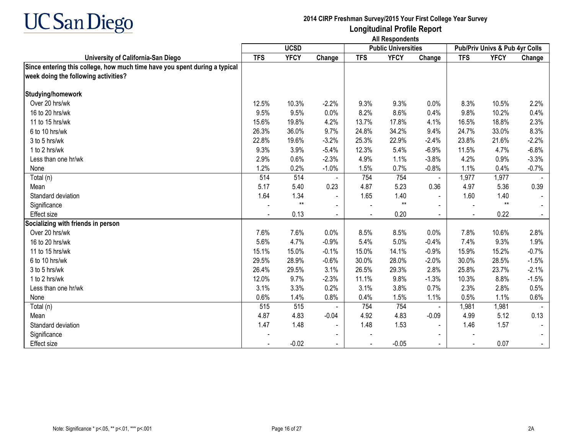

|                                                                            | <b>All Respondents</b> |             |                          |            |                            |                          |            |                                |                |
|----------------------------------------------------------------------------|------------------------|-------------|--------------------------|------------|----------------------------|--------------------------|------------|--------------------------------|----------------|
|                                                                            |                        | <b>UCSD</b> |                          |            | <b>Public Universities</b> |                          |            | Pub/Priv Univs & Pub 4yr Colls |                |
| University of California-San Diego                                         | <b>TFS</b>             | <b>YFCY</b> | Change                   | <b>TFS</b> | <b>YFCY</b>                | Change                   | <b>TFS</b> | <b>YFCY</b>                    | Change         |
| Since entering this college, how much time have you spent during a typical |                        |             |                          |            |                            |                          |            |                                |                |
| week doing the following activities?                                       |                        |             |                          |            |                            |                          |            |                                |                |
| Studying/homework                                                          |                        |             |                          |            |                            |                          |            |                                |                |
| Over 20 hrs/wk                                                             | 12.5%                  | 10.3%       | $-2.2%$                  | 9.3%       | 9.3%                       | 0.0%                     | 8.3%       | 10.5%                          | 2.2%           |
| 16 to 20 hrs/wk                                                            | 9.5%                   | 9.5%        | 0.0%                     | 8.2%       | 8.6%                       | 0.4%                     | 9.8%       | 10.2%                          | 0.4%           |
| 11 to 15 hrs/wk                                                            | 15.6%                  | 19.8%       | 4.2%                     | 13.7%      | 17.8%                      | 4.1%                     | 16.5%      | 18.8%                          | 2.3%           |
| 6 to 10 hrs/wk                                                             | 26.3%                  | 36.0%       | 9.7%                     | 24.8%      | 34.2%                      | 9.4%                     | 24.7%      | 33.0%                          | 8.3%           |
| 3 to 5 hrs/wk                                                              | 22.8%                  | 19.6%       | $-3.2%$                  | 25.3%      | 22.9%                      | $-2.4%$                  | 23.8%      | 21.6%                          | $-2.2%$        |
| 1 to 2 hrs/wk                                                              | 9.3%                   | 3.9%        | $-5.4%$                  | 12.3%      | 5.4%                       | $-6.9%$                  | 11.5%      | 4.7%                           | $-6.8%$        |
| Less than one hr/wk                                                        | 2.9%                   | 0.6%        | $-2.3%$                  | 4.9%       | 1.1%                       | $-3.8%$                  | 4.2%       | 0.9%                           | $-3.3%$        |
| None                                                                       | 1.2%                   | 0.2%        | $-1.0%$                  | 1.5%       | 0.7%                       | $-0.8%$                  | 1.1%       | 0.4%                           | $-0.7%$        |
| Total (n)                                                                  | 514                    | 514         |                          | 754        | 754                        | $\blacksquare$           | 1,977      | 1,977                          |                |
| Mean                                                                       | 5.17                   | 5.40        | 0.23                     | 4.87       | 5.23                       | 0.36                     | 4.97       | 5.36                           | 0.39           |
| Standard deviation                                                         | 1.64                   | 1.34        | $\overline{\phantom{a}}$ | 1.65       | 1.40                       |                          | 1.60       | 1.40                           |                |
| Significance                                                               |                        | $**$        | $\blacksquare$           |            | $**$                       |                          |            | $**$                           |                |
| <b>Effect size</b>                                                         |                        | 0.13        | $\sim$                   |            | 0.20                       | $\blacksquare$           |            | 0.22                           | $\sim$         |
| Socializing with friends in person                                         |                        |             |                          |            |                            |                          |            |                                |                |
| Over 20 hrs/wk                                                             | 7.6%                   | 7.6%        | 0.0%                     | 8.5%       | 8.5%                       | 0.0%                     | 7.8%       | 10.6%                          | 2.8%           |
| 16 to 20 hrs/wk                                                            | 5.6%                   | 4.7%        | $-0.9%$                  | 5.4%       | 5.0%                       | $-0.4%$                  | 7.4%       | 9.3%                           | 1.9%           |
| 11 to 15 hrs/wk                                                            | 15.1%                  | 15.0%       | $-0.1%$                  | 15.0%      | 14.1%                      | $-0.9%$                  | 15.9%      | 15.2%                          | $-0.7%$        |
| 6 to 10 hrs/wk                                                             | 29.5%                  | 28.9%       | $-0.6%$                  | 30.0%      | 28.0%                      | $-2.0%$                  | 30.0%      | 28.5%                          | $-1.5%$        |
| 3 to 5 hrs/wk                                                              | 26.4%                  | 29.5%       | 3.1%                     | 26.5%      | 29.3%                      | 2.8%                     | 25.8%      | 23.7%                          | $-2.1%$        |
| 1 to 2 hrs/wk                                                              | 12.0%                  | 9.7%        | $-2.3%$                  | 11.1%      | 9.8%                       | $-1.3%$                  | 10.3%      | 8.8%                           | $-1.5%$        |
| Less than one hr/wk                                                        | 3.1%                   | 3.3%        | 0.2%                     | 3.1%       | 3.8%                       | 0.7%                     | 2.3%       | 2.8%                           | 0.5%           |
| None                                                                       | 0.6%                   | 1.4%        | 0.8%                     | 0.4%       | 1.5%                       | 1.1%                     | 0.5%       | 1.1%                           | 0.6%           |
| Total (n)                                                                  | 515                    | 515         |                          | 754        | 754                        |                          | 1,981      | 1,981                          |                |
| Mean                                                                       | 4.87                   | 4.83        | $-0.04$                  | 4.92       | 4.83                       | $-0.09$                  | 4.99       | 5.12                           | 0.13           |
| Standard deviation                                                         | 1.47                   | 1.48        | $\blacksquare$           | 1.48       | 1.53                       | $\blacksquare$           | 1.46       | 1.57                           |                |
| Significance                                                               |                        |             | $\overline{\phantom{0}}$ |            |                            | $\overline{\phantom{0}}$ |            |                                |                |
| Effect size                                                                |                        | $-0.02$     | $\blacksquare$           |            | $-0.05$                    |                          |            | 0.07                           | $\blacksquare$ |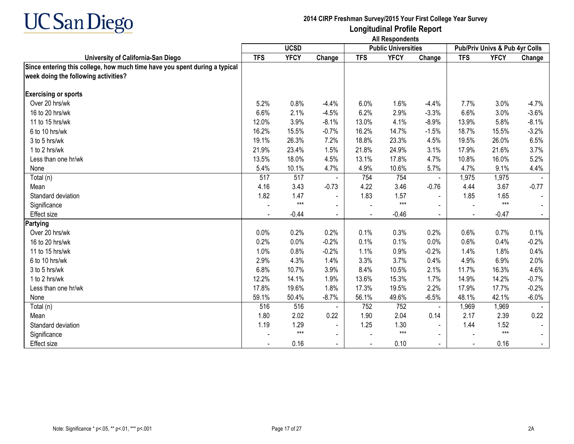

|                                                                            | <b>All Respondents</b> |             |                          |            |                            |                |            |                                |         |
|----------------------------------------------------------------------------|------------------------|-------------|--------------------------|------------|----------------------------|----------------|------------|--------------------------------|---------|
|                                                                            |                        | <b>UCSD</b> |                          |            | <b>Public Universities</b> |                |            | Pub/Priv Univs & Pub 4yr Colls |         |
| University of California-San Diego                                         | <b>TFS</b>             | <b>YFCY</b> | Change                   | <b>TFS</b> | <b>YFCY</b>                | Change         | <b>TFS</b> | <b>YFCY</b>                    | Change  |
| Since entering this college, how much time have you spent during a typical |                        |             |                          |            |                            |                |            |                                |         |
| week doing the following activities?                                       |                        |             |                          |            |                            |                |            |                                |         |
| <b>Exercising or sports</b>                                                |                        |             |                          |            |                            |                |            |                                |         |
| Over 20 hrs/wk                                                             | 5.2%                   | 0.8%        | $-4.4%$                  | 6.0%       | 1.6%                       | $-4.4%$        | 7.7%       | 3.0%                           | $-4.7%$ |
| 16 to 20 hrs/wk                                                            | 6.6%                   | 2.1%        | $-4.5%$                  | 6.2%       | 2.9%                       | $-3.3%$        | 6.6%       | 3.0%                           | $-3.6%$ |
| 11 to 15 hrs/wk                                                            | 12.0%                  | 3.9%        | $-8.1%$                  | 13.0%      | 4.1%                       | $-8.9%$        | 13.9%      | 5.8%                           | $-8.1%$ |
| 6 to 10 hrs/wk                                                             | 16.2%                  | 15.5%       | $-0.7%$                  | 16.2%      | 14.7%                      | $-1.5%$        | 18.7%      | 15.5%                          | $-3.2%$ |
| 3 to 5 hrs/wk                                                              | 19.1%                  | 26.3%       | 7.2%                     | 18.8%      | 23.3%                      | 4.5%           | 19.5%      | 26.0%                          | 6.5%    |
| 1 to 2 hrs/wk                                                              | 21.9%                  | 23.4%       | 1.5%                     | 21.8%      | 24.9%                      | 3.1%           | 17.9%      | 21.6%                          | 3.7%    |
| Less than one hr/wk                                                        | 13.5%                  | 18.0%       | 4.5%                     | 13.1%      | 17.8%                      | 4.7%           | 10.8%      | 16.0%                          | 5.2%    |
| None                                                                       | 5.4%                   | 10.1%       | 4.7%                     | 4.9%       | 10.6%                      | 5.7%           | 4.7%       | 9.1%                           | 4.4%    |
| Total (n)                                                                  | 517                    | 517         |                          | 754        | 754                        | $\blacksquare$ | 1,975      | 1,975                          |         |
| Mean                                                                       | 4.16                   | 3.43        | $-0.73$                  | 4.22       | 3.46                       | $-0.76$        | 4.44       | 3.67                           | $-0.77$ |
| Standard deviation                                                         | 1.82                   | 1.47        | $\overline{\phantom{a}}$ | 1.83       | 1.57                       | $\blacksquare$ | 1.85       | 1.65                           |         |
| Significance                                                               |                        | $***$       | $\blacksquare$           |            | $***$                      | $\sim$         |            | $***$                          |         |
| <b>Effect size</b>                                                         |                        | $-0.44$     | $\blacksquare$           |            | $-0.46$                    | $\blacksquare$ |            | $-0.47$                        |         |
| Partying                                                                   |                        |             |                          |            |                            |                |            |                                |         |
| Over 20 hrs/wk                                                             | 0.0%                   | 0.2%        | 0.2%                     | 0.1%       | 0.3%                       | 0.2%           | 0.6%       | 0.7%                           | 0.1%    |
| 16 to 20 hrs/wk                                                            | 0.2%                   | 0.0%        | $-0.2%$                  | 0.1%       | 0.1%                       | 0.0%           | 0.6%       | 0.4%                           | $-0.2%$ |
| 11 to 15 hrs/wk                                                            | 1.0%                   | 0.8%        | $-0.2%$                  | 1.1%       | 0.9%                       | $-0.2%$        | 1.4%       | 1.8%                           | 0.4%    |
| 6 to 10 hrs/wk                                                             | 2.9%                   | 4.3%        | 1.4%                     | 3.3%       | 3.7%                       | 0.4%           | 4.9%       | 6.9%                           | 2.0%    |
| 3 to 5 hrs/wk                                                              | 6.8%                   | 10.7%       | 3.9%                     | 8.4%       | 10.5%                      | 2.1%           | 11.7%      | 16.3%                          | 4.6%    |
| 1 to 2 hrs/wk                                                              | 12.2%                  | 14.1%       | 1.9%                     | 13.6%      | 15.3%                      | 1.7%           | 14.9%      | 14.2%                          | $-0.7%$ |
| Less than one hr/wk                                                        | 17.8%                  | 19.6%       | 1.8%                     | 17.3%      | 19.5%                      | 2.2%           | 17.9%      | 17.7%                          | $-0.2%$ |
| None                                                                       | 59.1%                  | 50.4%       | $-8.7%$                  | 56.1%      | 49.6%                      | $-6.5%$        | 48.1%      | 42.1%                          | $-6.0%$ |
| Total (n)                                                                  | 516                    | 516         |                          | 752        | 752                        |                | 1,969      | 1,969                          |         |
| Mean                                                                       | 1.80                   | 2.02        | 0.22                     | 1.90       | 2.04                       | 0.14           | 2.17       | 2.39                           | 0.22    |
| Standard deviation                                                         | 1.19                   | 1.29        | $\blacksquare$           | 1.25       | 1.30                       | $\blacksquare$ | 1.44       | 1.52                           |         |
| Significance                                                               |                        | $***$       | $\blacksquare$           |            | $***$                      | $\blacksquare$ |            | $***$                          |         |
| Effect size                                                                |                        | 0.16        | $\blacksquare$           |            | 0.10                       | $\sim$         |            | 0.16                           |         |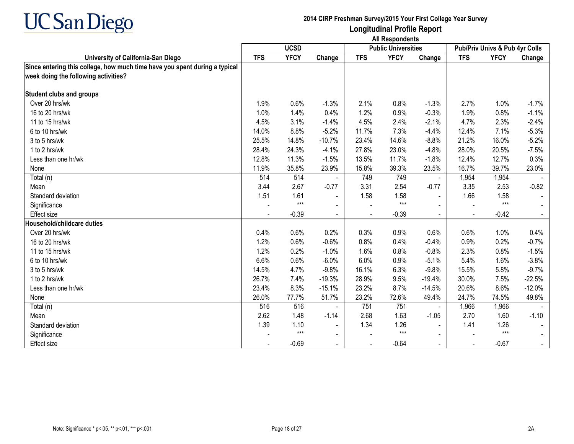

|                                                                                                                    | <b>All Respondents</b> |             |                |            |                            |                          |            |                                |          |
|--------------------------------------------------------------------------------------------------------------------|------------------------|-------------|----------------|------------|----------------------------|--------------------------|------------|--------------------------------|----------|
|                                                                                                                    |                        | <b>UCSD</b> |                |            | <b>Public Universities</b> |                          |            | Pub/Priv Univs & Pub 4yr Colls |          |
| University of California-San Diego                                                                                 | <b>TFS</b>             | <b>YFCY</b> | Change         | <b>TFS</b> | <b>YFCY</b>                | Change                   | <b>TFS</b> | <b>YFCY</b>                    | Change   |
| Since entering this college, how much time have you spent during a typical<br>week doing the following activities? |                        |             |                |            |                            |                          |            |                                |          |
| <b>Student clubs and groups</b>                                                                                    |                        |             |                |            |                            |                          |            |                                |          |
| Over 20 hrs/wk                                                                                                     | 1.9%                   | 0.6%        | $-1.3%$        | 2.1%       | 0.8%                       | $-1.3%$                  | 2.7%       | 1.0%                           | $-1.7%$  |
| 16 to 20 hrs/wk                                                                                                    | 1.0%                   | 1.4%        | 0.4%           | 1.2%       | 0.9%                       | $-0.3%$                  | 1.9%       | 0.8%                           | $-1.1%$  |
| 11 to 15 hrs/wk                                                                                                    | 4.5%                   | 3.1%        | $-1.4%$        | 4.5%       | 2.4%                       | $-2.1%$                  | 4.7%       | 2.3%                           | $-2.4%$  |
| 6 to 10 hrs/wk                                                                                                     | 14.0%                  | 8.8%        | $-5.2%$        | 11.7%      | 7.3%                       | $-4.4%$                  | 12.4%      | 7.1%                           | $-5.3%$  |
| 3 to 5 hrs/wk                                                                                                      | 25.5%                  | 14.8%       | $-10.7%$       | 23.4%      | 14.6%                      | $-8.8%$                  | 21.2%      | 16.0%                          | $-5.2%$  |
| 1 to 2 hrs/wk                                                                                                      | 28.4%                  | 24.3%       | $-4.1%$        | 27.8%      | 23.0%                      | $-4.8%$                  | 28.0%      | 20.5%                          | $-7.5%$  |
| Less than one hr/wk                                                                                                | 12.8%                  | 11.3%       | $-1.5%$        | 13.5%      | 11.7%                      | $-1.8%$                  | 12.4%      | 12.7%                          | 0.3%     |
| None                                                                                                               | 11.9%                  | 35.8%       | 23.9%          | 15.8%      | 39.3%                      | 23.5%                    | 16.7%      | 39.7%                          | 23.0%    |
| Total (n)                                                                                                          | 514                    | 514         |                | 749        | 749                        | $\blacksquare$           | 1,954      | 1,954                          |          |
| Mean                                                                                                               | 3.44                   | 2.67        | $-0.77$        | 3.31       | 2.54                       | $-0.77$                  | 3.35       | 2.53                           | $-0.82$  |
| Standard deviation                                                                                                 | 1.51                   | 1.61        | $\sim$         | 1.58       | 1.58                       | $\sim$                   | 1.66       | 1.58                           |          |
| Significance                                                                                                       |                        | $***$       | $\blacksquare$ |            | $***$                      |                          |            | $***$                          |          |
| <b>Effect</b> size                                                                                                 |                        | $-0.39$     | $\blacksquare$ |            | $-0.39$                    | $\overline{\phantom{a}}$ |            | $-0.42$                        |          |
| Household/childcare duties                                                                                         |                        |             |                |            |                            |                          |            |                                |          |
| Over 20 hrs/wk                                                                                                     | 0.4%                   | 0.6%        | 0.2%           | 0.3%       | 0.9%                       | 0.6%                     | 0.6%       | 1.0%                           | 0.4%     |
| 16 to 20 hrs/wk                                                                                                    | 1.2%                   | 0.6%        | $-0.6%$        | 0.8%       | 0.4%                       | $-0.4%$                  | 0.9%       | 0.2%                           | $-0.7%$  |
| 11 to 15 hrs/wk                                                                                                    | 1.2%                   | 0.2%        | $-1.0%$        | 1.6%       | 0.8%                       | $-0.8%$                  | 2.3%       | 0.8%                           | $-1.5%$  |
| 6 to 10 hrs/wk                                                                                                     | 6.6%                   | 0.6%        | $-6.0%$        | 6.0%       | 0.9%                       | $-5.1%$                  | 5.4%       | 1.6%                           | $-3.8%$  |
| 3 to 5 hrs/wk                                                                                                      | 14.5%                  | 4.7%        | $-9.8%$        | 16.1%      | 6.3%                       | $-9.8%$                  | 15.5%      | 5.8%                           | $-9.7%$  |
| 1 to 2 hrs/wk                                                                                                      | 26.7%                  | 7.4%        | $-19.3%$       | 28.9%      | 9.5%                       | $-19.4%$                 | 30.0%      | 7.5%                           | $-22.5%$ |
| Less than one hr/wk                                                                                                | 23.4%                  | 8.3%        | $-15.1%$       | 23.2%      | 8.7%                       | $-14.5%$                 | 20.6%      | 8.6%                           | $-12.0%$ |
| None                                                                                                               | 26.0%                  | 77.7%       | 51.7%          | 23.2%      | 72.6%                      | 49.4%                    | 24.7%      | 74.5%                          | 49.8%    |
| Total (n)                                                                                                          | 516                    | 516         |                | 751        | 751                        | $\blacksquare$           | 1,966      | 1,966                          |          |
| Mean                                                                                                               | 2.62                   | 1.48        | $-1.14$        | 2.68       | 1.63                       | $-1.05$                  | 2.70       | 1.60                           | $-1.10$  |
| Standard deviation                                                                                                 | 1.39                   | 1.10        | $\blacksquare$ | 1.34       | 1.26                       | $\blacksquare$           | 1.41       | 1.26                           |          |
| Significance                                                                                                       |                        | $***$       | $\blacksquare$ |            | $***$                      |                          |            | $***$                          |          |
| <b>Effect size</b>                                                                                                 |                        | $-0.69$     | $\sim$         |            | $-0.64$                    | $\overline{\phantom{0}}$ |            | $-0.67$                        | $\sim$   |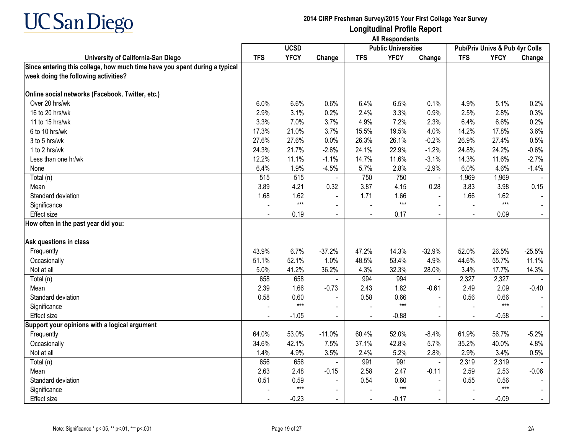

|                                                                                                                    | <b>All Respondents</b> |             |                |            |                            |                |            |                                |                |
|--------------------------------------------------------------------------------------------------------------------|------------------------|-------------|----------------|------------|----------------------------|----------------|------------|--------------------------------|----------------|
|                                                                                                                    |                        | <b>UCSD</b> |                |            | <b>Public Universities</b> |                |            | Pub/Priv Univs & Pub 4yr Colls |                |
| University of California-San Diego                                                                                 | <b>TFS</b>             | <b>YFCY</b> | Change         | <b>TFS</b> | <b>YFCY</b>                | Change         | <b>TFS</b> | <b>YFCY</b>                    | Change         |
| Since entering this college, how much time have you spent during a typical<br>week doing the following activities? |                        |             |                |            |                            |                |            |                                |                |
| Online social networks (Facebook, Twitter, etc.)                                                                   |                        |             |                |            |                            |                |            |                                |                |
| Over 20 hrs/wk                                                                                                     | 6.0%                   | 6.6%        | 0.6%           | 6.4%       | 6.5%                       | 0.1%           | 4.9%       | 5.1%                           | 0.2%           |
| 16 to 20 hrs/wk                                                                                                    | 2.9%                   | 3.1%        | 0.2%           | 2.4%       | 3.3%                       | 0.9%           | 2.5%       | 2.8%                           | 0.3%           |
| 11 to 15 hrs/wk                                                                                                    | 3.3%                   | 7.0%        | 3.7%           | 4.9%       | 7.2%                       | 2.3%           | 6.4%       | 6.6%                           | 0.2%           |
| 6 to 10 hrs/wk                                                                                                     | 17.3%                  | 21.0%       | 3.7%           | 15.5%      | 19.5%                      | 4.0%           | 14.2%      | 17.8%                          | 3.6%           |
| 3 to 5 hrs/wk                                                                                                      | 27.6%                  | 27.6%       | 0.0%           | 26.3%      | 26.1%                      | $-0.2%$        | 26.9%      | 27.4%                          | 0.5%           |
| 1 to 2 hrs/wk                                                                                                      | 24.3%                  | 21.7%       | $-2.6%$        | 24.1%      | 22.9%                      | $-1.2%$        | 24.8%      | 24.2%                          | $-0.6%$        |
| Less than one hr/wk                                                                                                | 12.2%                  | 11.1%       | $-1.1%$        | 14.7%      | 11.6%                      | $-3.1%$        | 14.3%      | 11.6%                          | $-2.7%$        |
| None                                                                                                               | 6.4%                   | 1.9%        | $-4.5%$        | 5.7%       | 2.8%                       | $-2.9%$        | 6.0%       | 4.6%                           | $-1.4%$        |
| Total (n)                                                                                                          | 515                    | 515         |                | 750        | 750                        | $\blacksquare$ | 1,969      | 1,969                          |                |
| Mean                                                                                                               | 3.89                   | 4.21        | 0.32           | 3.87       | 4.15                       | 0.28           | 3.83       | 3.98                           | 0.15           |
| Standard deviation                                                                                                 | 1.68                   | 1.62        | $\blacksquare$ | 1.71       | 1.66                       | $\blacksquare$ | 1.66       | 1.62                           |                |
| Significance                                                                                                       |                        | $***$       | $\blacksquare$ |            | $***$                      | $\sim$         |            | $***$                          |                |
| <b>Effect size</b>                                                                                                 |                        | 0.19        | $\blacksquare$ |            | 0.17                       | $\blacksquare$ | $\sim$     | 0.09                           |                |
| How often in the past year did you:                                                                                |                        |             |                |            |                            |                |            |                                |                |
| Ask questions in class                                                                                             |                        |             |                |            |                            |                |            |                                |                |
| Frequently                                                                                                         | 43.9%                  | 6.7%        | $-37.2%$       | 47.2%      | 14.3%                      | $-32.9%$       | 52.0%      | 26.5%                          | $-25.5%$       |
| Occasionally                                                                                                       | 51.1%                  | 52.1%       | 1.0%           | 48.5%      | 53.4%                      | 4.9%           | 44.6%      | 55.7%                          | 11.1%          |
| Not at all                                                                                                         | 5.0%                   | 41.2%       | 36.2%          | 4.3%       | 32.3%                      | 28.0%          | 3.4%       | 17.7%                          | 14.3%          |
| Total (n)                                                                                                          | 658                    | 658         |                | 994        | 994                        |                | 2,327      | 2,327                          |                |
| Mean                                                                                                               | 2.39                   | 1.66        | $-0.73$        | 2.43       | 1.82                       | $-0.61$        | 2.49       | 2.09                           | $-0.40$        |
| Standard deviation                                                                                                 | 0.58                   | 0.60        |                | 0.58       | 0.66                       | $\sim$         | 0.56       | 0.66                           |                |
| Significance                                                                                                       |                        | $***$       |                |            | $***$                      |                |            | $***$                          |                |
| <b>Effect size</b>                                                                                                 |                        | $-1.05$     | $\blacksquare$ |            | $-0.88$                    | $\sim$         |            | $-0.58$                        | $\mathbf{u}$   |
| Support your opinions with a logical argument                                                                      |                        |             |                |            |                            |                |            |                                |                |
| Frequently                                                                                                         | 64.0%                  | 53.0%       | $-11.0%$       | 60.4%      | 52.0%                      | $-8.4%$        | 61.9%      | 56.7%                          | $-5.2%$        |
| Occasionally                                                                                                       | 34.6%                  | 42.1%       | 7.5%           | 37.1%      | 42.8%                      | 5.7%           | 35.2%      | 40.0%                          | 4.8%           |
| Not at all                                                                                                         | 1.4%                   | 4.9%        | 3.5%           | 2.4%       | 5.2%                       | 2.8%           | 2.9%       | 3.4%                           | 0.5%           |
| Total (n)                                                                                                          | 656                    | 656         | $\sim$         | 991        | 991                        | $\mathbf{r}$   | 2,319      | 2,319                          |                |
| Mean                                                                                                               | 2.63                   | 2.48        | $-0.15$        | 2.58       | 2.47                       | $-0.11$        | 2.59       | 2.53                           | $-0.06$        |
| Standard deviation                                                                                                 | 0.51                   | 0.59        | $\blacksquare$ | 0.54       | 0.60                       | $\sim$         | 0.55       | 0.56                           |                |
| Significance                                                                                                       |                        | $***$       | $\blacksquare$ |            | $***$                      |                |            | $***$                          | $\blacksquare$ |
| Effect size                                                                                                        |                        | $-0.23$     | $\blacksquare$ |            | $-0.17$                    | $\sim$         | $\sim$     | $-0.09$                        | $\sim$         |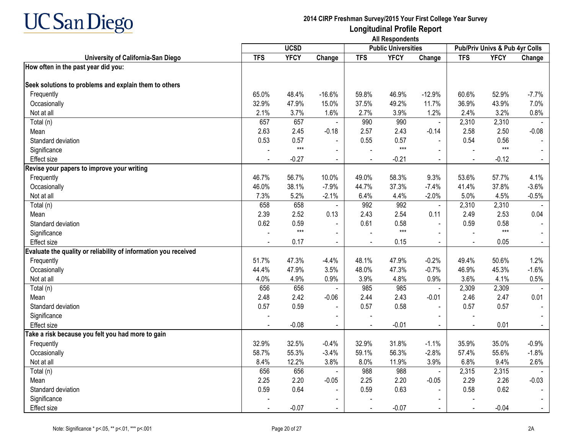

|                                                                 |            | <b>UCSD</b> |                |                | <b>Public Universities</b> |                |                | Pub/Priv Univs & Pub 4yr Colls |         |
|-----------------------------------------------------------------|------------|-------------|----------------|----------------|----------------------------|----------------|----------------|--------------------------------|---------|
| University of California-San Diego                              | <b>TFS</b> | <b>YFCY</b> | Change         | <b>TFS</b>     | <b>YFCY</b>                | Change         | <b>TFS</b>     | <b>YFCY</b>                    | Change  |
| How often in the past year did you:                             |            |             |                |                |                            |                |                |                                |         |
| Seek solutions to problems and explain them to others           |            |             |                |                |                            |                |                |                                |         |
| Frequently                                                      | 65.0%      | 48.4%       | $-16.6%$       | 59.8%          | 46.9%                      | $-12.9%$       | 60.6%          | 52.9%                          | $-7.7%$ |
| Occasionally                                                    | 32.9%      | 47.9%       | 15.0%          | 37.5%          | 49.2%                      | 11.7%          | 36.9%          | 43.9%                          | 7.0%    |
| Not at all                                                      | 2.1%       | 3.7%        | 1.6%           | 2.7%           | 3.9%                       | 1.2%           | 2.4%           | 3.2%                           | 0.8%    |
| Total (n)                                                       | 657        | 657         | $\sim$         | 990            | 990                        | $\sim$         | 2,310          | 2,310                          |         |
| Mean                                                            | 2.63       | 2.45        | $-0.18$        | 2.57           | 2.43                       | $-0.14$        | 2.58           | 2.50                           | $-0.08$ |
| Standard deviation                                              | 0.53       | 0.57        | $\blacksquare$ | 0.55           | 0.57                       |                | 0.54           | 0.56                           |         |
| Significance                                                    |            | $***$       |                |                | $***$                      |                |                | $***$                          |         |
| Effect size                                                     |            | $-0.27$     | $\sim$         | $\blacksquare$ | $-0.21$                    | $\sim$         | $\blacksquare$ | $-0.12$                        | $\sim$  |
| Revise your papers to improve your writing                      |            |             |                |                |                            |                |                |                                |         |
| Frequently                                                      | 46.7%      | 56.7%       | 10.0%          | 49.0%          | 58.3%                      | 9.3%           | 53.6%          | 57.7%                          | 4.1%    |
| Occasionally                                                    | 46.0%      | 38.1%       | $-7.9%$        | 44.7%          | 37.3%                      | $-7.4%$        | 41.4%          | 37.8%                          | $-3.6%$ |
| Not at all                                                      | 7.3%       | 5.2%        | $-2.1%$        | 6.4%           | 4.4%                       | $-2.0%$        | 5.0%           | 4.5%                           | $-0.5%$ |
| Total (n)                                                       | 658        | 658         | $\blacksquare$ | 992            | 992                        | $\blacksquare$ | 2,310          | 2,310                          |         |
| Mean                                                            | 2.39       | 2.52        | 0.13           | 2.43           | 2.54                       | 0.11           | 2.49           | 2.53                           | 0.04    |
| Standard deviation                                              | 0.62       | 0.59        | $\blacksquare$ | 0.61           | 0.58                       | $\blacksquare$ | 0.59           | 0.58                           |         |
| Significance                                                    |            | $***$       | $\blacksquare$ |                | $***$                      |                |                | $***$                          |         |
| <b>Effect size</b>                                              |            | 0.17        | $\blacksquare$ |                | 0.15                       | $\sim$         |                | 0.05                           |         |
| Evaluate the quality or reliability of information you received |            |             |                |                |                            |                |                |                                |         |
| Frequently                                                      | 51.7%      | 47.3%       | $-4.4%$        | 48.1%          | 47.9%                      | $-0.2%$        | 49.4%          | 50.6%                          | 1.2%    |
| Occasionally                                                    | 44.4%      | 47.9%       | 3.5%           | 48.0%          | 47.3%                      | $-0.7%$        | 46.9%          | 45.3%                          | $-1.6%$ |
| Not at all                                                      | 4.0%       | 4.9%        | 0.9%           | 3.9%           | 4.8%                       | 0.9%           | 3.6%           | 4.1%                           | 0.5%    |
| Total (n)                                                       | 656        | 656         |                | 985            | 985                        |                | 2,309          | 2,309                          |         |
| Mean                                                            | 2.48       | 2.42        | $-0.06$        | 2.44           | 2.43                       | $-0.01$        | 2.46           | 2.47                           | 0.01    |
| Standard deviation                                              | 0.57       | 0.59        |                | 0.57           | 0.58                       |                | 0.57           | 0.57                           |         |
| Significance                                                    |            |             |                |                |                            |                |                |                                |         |
| <b>Effect size</b>                                              |            | $-0.08$     | $\blacksquare$ |                | $-0.01$                    | $\blacksquare$ |                | 0.01                           |         |
| Take a risk because you felt you had more to gain               |            |             |                |                |                            |                |                |                                |         |
| Frequently                                                      | 32.9%      | 32.5%       | $-0.4%$        | 32.9%          | 31.8%                      | $-1.1%$        | 35.9%          | 35.0%                          | $-0.9%$ |
| Occasionally                                                    | 58.7%      | 55.3%       | $-3.4%$        | 59.1%          | 56.3%                      | $-2.8%$        | 57.4%          | 55.6%                          | $-1.8%$ |
| Not at all                                                      | 8.4%       | 12.2%       | 3.8%           | 8.0%           | 11.9%                      | 3.9%           | 6.8%           | 9.4%                           | 2.6%    |
| Total (n)                                                       | 656        | 656         |                | 988            | 988                        | $\blacksquare$ | 2,315          | 2,315                          |         |
| Mean                                                            | 2.25       | 2.20        | $-0.05$        | 2.25           | 2.20                       | $-0.05$        | 2.29           | 2.26                           | $-0.03$ |
| Standard deviation                                              | 0.59       | 0.64        | $\blacksquare$ | 0.59           | 0.63                       |                | 0.58           | 0.62                           |         |
| Significance                                                    |            |             |                |                |                            |                |                |                                |         |
| <b>Effect size</b>                                              |            | $-0.07$     |                |                | $-0.07$                    |                |                | $-0.04$                        |         |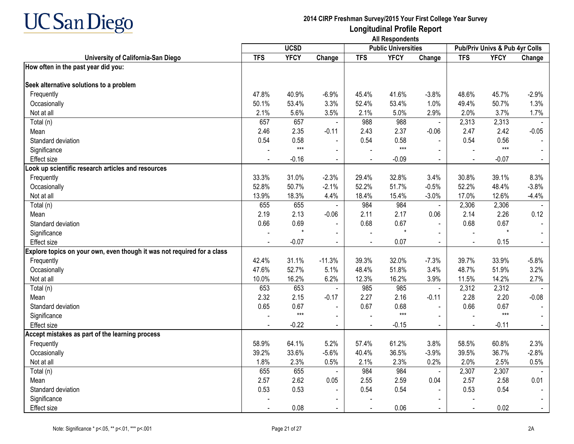

|                                                                         |            | <b>UCSD</b> |                |                | <b>Public Universities</b> |                |                | Pub/Priv Univs & Pub 4yr Colls |         |
|-------------------------------------------------------------------------|------------|-------------|----------------|----------------|----------------------------|----------------|----------------|--------------------------------|---------|
| University of California-San Diego                                      | <b>TFS</b> | <b>YFCY</b> | Change         | <b>TFS</b>     | <b>YFCY</b>                | Change         | <b>TFS</b>     | <b>YFCY</b>                    | Change  |
| How often in the past year did you:                                     |            |             |                |                |                            |                |                |                                |         |
| Seek alternative solutions to a problem                                 |            |             |                |                |                            |                |                |                                |         |
| Frequently                                                              | 47.8%      | 40.9%       | $-6.9%$        | 45.4%          | 41.6%                      | $-3.8%$        | 48.6%          | 45.7%                          | $-2.9%$ |
| Occasionally                                                            | 50.1%      | 53.4%       | 3.3%           | 52.4%          | 53.4%                      | 1.0%           | 49.4%          | 50.7%                          | 1.3%    |
| Not at all                                                              | 2.1%       | 5.6%        | 3.5%           | 2.1%           | 5.0%                       | 2.9%           | 2.0%           | 3.7%                           | 1.7%    |
| Total (n)                                                               | 657        | 657         | $\blacksquare$ | 988            | 988                        | $\blacksquare$ | 2,313          | 2,313                          |         |
| Mean                                                                    | 2.46       | 2.35        | $-0.11$        | 2.43           | 2.37                       | $-0.06$        | 2.47           | 2.42                           | $-0.05$ |
| Standard deviation                                                      | 0.54       | 0.58        | $\blacksquare$ | 0.54           | 0.58                       |                | 0.54           | 0.56                           |         |
| Significance                                                            |            | $***$       | $\blacksquare$ |                | $***$                      |                |                | $***$                          |         |
| Effect size                                                             |            | $-0.16$     | $\blacksquare$ | $\blacksquare$ | $-0.09$                    | $\blacksquare$ | $\blacksquare$ | $-0.07$                        | $\sim$  |
| Look up scientific research articles and resources                      |            |             |                |                |                            |                |                |                                |         |
| Frequently                                                              | 33.3%      | 31.0%       | $-2.3%$        | 29.4%          | 32.8%                      | 3.4%           | 30.8%          | 39.1%                          | 8.3%    |
| Occasionally                                                            | 52.8%      | 50.7%       | $-2.1%$        | 52.2%          | 51.7%                      | $-0.5%$        | 52.2%          | 48.4%                          | $-3.8%$ |
| Not at all                                                              | 13.9%      | 18.3%       | 4.4%           | 18.4%          | 15.4%                      | $-3.0%$        | 17.0%          | 12.6%                          | $-4.4%$ |
| Total (n)                                                               | 655        | 655         | $\blacksquare$ | 984            | 984                        | $\blacksquare$ | 2,306          | 2,306                          |         |
| Mean                                                                    | 2.19       | 2.13        | $-0.06$        | 2.11           | 2.17                       | 0.06           | 2.14           | 2.26                           | 0.12    |
| Standard deviation                                                      | 0.66       | 0.69        | $\blacksquare$ | 0.68           | 0.67                       | $\sim$         | 0.68           | 0.67                           |         |
| Significance                                                            |            | $\star$     |                |                | $\star$                    |                |                | $\star$                        |         |
| <b>Effect size</b>                                                      |            | $-0.07$     |                |                | 0.07                       |                |                | 0.15                           |         |
| Explore topics on your own, even though it was not required for a class |            |             |                |                |                            |                |                |                                |         |
| Frequently                                                              | 42.4%      | 31.1%       | $-11.3%$       | 39.3%          | 32.0%                      | $-7.3%$        | 39.7%          | 33.9%                          | $-5.8%$ |
| Occasionally                                                            | 47.6%      | 52.7%       | 5.1%           | 48.4%          | 51.8%                      | 3.4%           | 48.7%          | 51.9%                          | 3.2%    |
| Not at all                                                              | 10.0%      | 16.2%       | 6.2%           | 12.3%          | 16.2%                      | 3.9%           | 11.5%          | 14.2%                          | 2.7%    |
| Total (n)                                                               | 653        | 653         |                | 985            | 985                        | $\blacksquare$ | 2,312          | 2,312                          |         |
| Mean                                                                    | 2.32       | 2.15        | $-0.17$        | 2.27           | 2.16                       | $-0.11$        | 2.28           | 2.20                           | $-0.08$ |
| Standard deviation                                                      | 0.65       | 0.67        |                | 0.67           | 0.68                       |                | 0.66           | 0.67                           |         |
| Significance                                                            |            | $***$       | $\sim$         |                | $***$                      |                |                | $***$                          |         |
| <b>Effect size</b>                                                      |            | $-0.22$     | $\blacksquare$ |                | $-0.15$                    | $\Delta$       |                | $-0.11$                        |         |
| Accept mistakes as part of the learning process                         |            |             |                |                |                            |                |                |                                |         |
| Frequently                                                              | 58.9%      | 64.1%       | 5.2%           | 57.4%          | 61.2%                      | 3.8%           | 58.5%          | 60.8%                          | 2.3%    |
| Occasionally                                                            | 39.2%      | 33.6%       | $-5.6%$        | 40.4%          | 36.5%                      | $-3.9%$        | 39.5%          | 36.7%                          | $-2.8%$ |
| Not at all                                                              | 1.8%       | 2.3%        | 0.5%           | 2.1%           | 2.3%                       | 0.2%           | 2.0%           | 2.5%                           | 0.5%    |
| Total (n)                                                               | 655        | 655         |                | 984            | 984                        | $\blacksquare$ | 2,307          | 2,307                          |         |
| Mean                                                                    | 2.57       | 2.62        | 0.05           | 2.55           | 2.59                       | 0.04           | 2.57           | 2.58                           | 0.01    |
| Standard deviation                                                      | 0.53       | 0.53        | $\blacksquare$ | 0.54           | 0.54                       |                | 0.53           | 0.54                           |         |
| Significance                                                            |            |             |                |                |                            |                |                |                                |         |
| Effect size                                                             |            | 0.08        | $\blacksquare$ | $\sim$         | 0.06                       | $\sim$         | $\mathbf{r}$   | 0.02                           |         |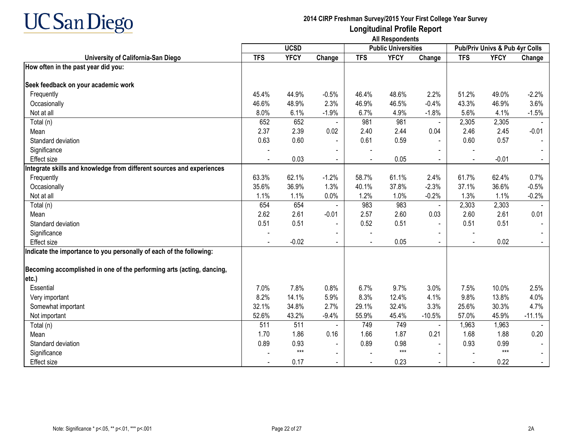

|                                                                       |            | <b>UCSD</b> |                |            | <b>Public Universities</b> |                |                | Pub/Priv Univs & Pub 4yr Colls |          |
|-----------------------------------------------------------------------|------------|-------------|----------------|------------|----------------------------|----------------|----------------|--------------------------------|----------|
| University of California-San Diego                                    | <b>TFS</b> | <b>YFCY</b> | Change         | <b>TFS</b> | <b>YFCY</b>                | Change         | <b>TFS</b>     | <b>YFCY</b>                    | Change   |
| How often in the past year did you:                                   |            |             |                |            |                            |                |                |                                |          |
|                                                                       |            |             |                |            |                            |                |                |                                |          |
| Seek feedback on your academic work                                   |            |             |                |            |                            |                |                |                                |          |
| Frequently                                                            | 45.4%      | 44.9%       | $-0.5%$        | 46.4%      | 48.6%                      | 2.2%           | 51.2%          | 49.0%                          | $-2.2%$  |
| Occasionally                                                          | 46.6%      | 48.9%       | 2.3%           | 46.9%      | 46.5%                      | $-0.4%$        | 43.3%          | 46.9%                          | 3.6%     |
| Not at all                                                            | 8.0%       | 6.1%        | $-1.9%$        | 6.7%       | 4.9%                       | $-1.8%$        | 5.6%           | 4.1%                           | $-1.5%$  |
| Total (n)                                                             | 652        | 652         | $\blacksquare$ | 981        | 981                        | $\blacksquare$ | 2,305          | 2,305                          |          |
| Mean                                                                  | 2.37       | 2.39        | 0.02           | 2.40       | 2.44                       | 0.04           | 2.46           | 2.45                           | $-0.01$  |
| Standard deviation                                                    | 0.63       | 0.60        | $\blacksquare$ | 0.61       | 0.59                       |                | 0.60           | 0.57                           |          |
| Significance                                                          |            |             |                |            |                            |                |                |                                |          |
| <b>Effect size</b>                                                    |            | 0.03        | $\blacksquare$ |            | 0.05                       |                |                | $-0.01$                        |          |
| Integrate skills and knowledge from different sources and experiences |            |             |                |            |                            |                |                |                                |          |
| Frequently                                                            | 63.3%      | 62.1%       | $-1.2%$        | 58.7%      | 61.1%                      | 2.4%           | 61.7%          | 62.4%                          | 0.7%     |
| Occasionally                                                          | 35.6%      | 36.9%       | 1.3%           | 40.1%      | 37.8%                      | $-2.3%$        | 37.1%          | 36.6%                          | $-0.5%$  |
| Not at all                                                            | 1.1%       | 1.1%        | 0.0%           | 1.2%       | 1.0%                       | $-0.2%$        | 1.3%           | 1.1%                           | $-0.2%$  |
| Total (n)                                                             | 654        | 654         |                | 983        | 983                        | $\blacksquare$ | 2,303          | 2,303                          |          |
| Mean                                                                  | 2.62       | 2.61        | $-0.01$        | 2.57       | 2.60                       | 0.03           | 2.60           | 2.61                           | 0.01     |
| Standard deviation                                                    | 0.51       | 0.51        | $\blacksquare$ | 0.52       | 0.51                       |                | 0.51           | 0.51                           |          |
| Significance                                                          |            |             |                |            |                            |                |                |                                |          |
| <b>Effect size</b>                                                    |            | $-0.02$     | $\blacksquare$ |            | 0.05                       |                | $\blacksquare$ | 0.02                           |          |
| Indicate the importance to you personally of each of the following:   |            |             |                |            |                            |                |                |                                |          |
|                                                                       |            |             |                |            |                            |                |                |                                |          |
| Becoming accomplished in one of the performing arts (acting, dancing, |            |             |                |            |                            |                |                |                                |          |
| etc.)                                                                 |            |             |                |            |                            |                |                |                                |          |
| Essential                                                             | 7.0%       | 7.8%        | 0.8%           | 6.7%       | 9.7%                       | 3.0%           | 7.5%           | 10.0%                          | 2.5%     |
| Very important                                                        | 8.2%       | 14.1%       | 5.9%           | 8.3%       | 12.4%                      | 4.1%           | 9.8%           | 13.8%                          | 4.0%     |
| Somewhat important                                                    | 32.1%      | 34.8%       | 2.7%           | 29.1%      | 32.4%                      | 3.3%           | 25.6%          | 30.3%                          | 4.7%     |
| Not important                                                         | 52.6%      | 43.2%       | $-9.4%$        | 55.9%      | 45.4%                      | $-10.5%$       | 57.0%          | 45.9%                          | $-11.1%$ |
| Total (n)                                                             | 511        | 511         |                | 749        | 749                        |                | 1,963          | 1,963                          |          |
| Mean                                                                  | 1.70       | 1.86        | 0.16           | 1.66       | 1.87                       | 0.21           | 1.68           | 1.88                           | 0.20     |
| Standard deviation                                                    | 0.89       | 0.93        |                | 0.89       | 0.98                       |                | 0.93           | 0.99                           |          |
| Significance                                                          |            | $***$       | $\blacksquare$ |            | $***$                      |                |                | $***$                          |          |
| <b>Effect size</b>                                                    |            | 0.17        | $\sim$         |            | 0.23                       | $\sim$         | $\blacksquare$ | 0.22                           |          |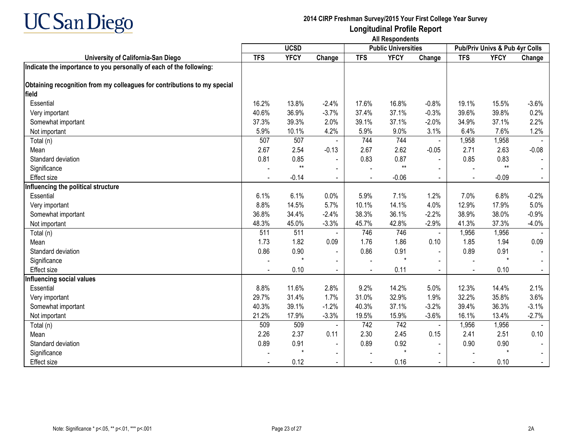

|                                                                                   | <b>UCSD</b> |              |                          |            | <b>Public Universities</b> |                | Pub/Priv Univs & Pub 4yr Colls |              |         |
|-----------------------------------------------------------------------------------|-------------|--------------|--------------------------|------------|----------------------------|----------------|--------------------------------|--------------|---------|
| University of California-San Diego                                                | <b>TFS</b>  | <b>YFCY</b>  | Change                   | <b>TFS</b> | <b>YFCY</b>                | Change         | <b>TFS</b>                     | <b>YFCY</b>  | Change  |
| Indicate the importance to you personally of each of the following:               |             |              |                          |            |                            |                |                                |              |         |
| Obtaining recognition from my colleagues for contributions to my special<br>field |             |              |                          |            |                            |                |                                |              |         |
| Essential                                                                         | 16.2%       | 13.8%        | $-2.4%$                  | 17.6%      | 16.8%                      | $-0.8%$        | 19.1%                          | 15.5%        | $-3.6%$ |
| Very important                                                                    | 40.6%       | 36.9%        | $-3.7%$                  | 37.4%      | 37.1%                      | $-0.3%$        | 39.6%                          | 39.8%        | 0.2%    |
| Somewhat important                                                                | 37.3%       | 39.3%        | 2.0%                     | 39.1%      | 37.1%                      | $-2.0%$        | 34.9%                          | 37.1%        | 2.2%    |
|                                                                                   | 5.9%        | 10.1%        | 4.2%                     | 5.9%       | 9.0%                       |                | 6.4%                           | 7.6%         | 1.2%    |
| Not important                                                                     | 507         | 507          |                          | 744        | 744                        | 3.1%           |                                |              |         |
| Total (n)                                                                         |             | 2.54         | $-0.13$                  | 2.67       | 2.62                       | $\blacksquare$ | 1,958<br>2.71                  | 1,958        | $-0.08$ |
| Mean                                                                              | 2.67        |              |                          |            |                            | $-0.05$        |                                | 2.63         |         |
| Standard deviation                                                                | 0.81        | 0.85<br>$**$ | $\blacksquare$           | 0.83       | 0.87<br>$**$               |                | 0.85                           | 0.83<br>$**$ |         |
| Significance                                                                      |             |              |                          |            |                            |                |                                |              |         |
| <b>Effect size</b>                                                                |             | $-0.14$      | $\blacksquare$           |            | $-0.06$                    | $\blacksquare$ |                                | $-0.09$      |         |
| Influencing the political structure                                               |             |              |                          |            |                            |                |                                |              |         |
| Essential                                                                         | 6.1%        | 6.1%         | 0.0%                     | 5.9%       | 7.1%                       | 1.2%           | 7.0%                           | 6.8%         | $-0.2%$ |
| Very important                                                                    | 8.8%        | 14.5%        | 5.7%                     | 10.1%      | 14.1%                      | 4.0%           | 12.9%                          | 17.9%        | 5.0%    |
| Somewhat important                                                                | 36.8%       | 34.4%        | $-2.4%$                  | 38.3%      | 36.1%                      | $-2.2%$        | 38.9%                          | 38.0%        | $-0.9%$ |
| Not important                                                                     | 48.3%       | 45.0%        | $-3.3%$                  | 45.7%      | 42.8%                      | $-2.9%$        | 41.3%                          | 37.3%        | $-4.0%$ |
| Total (n)                                                                         | 511         | 511          |                          | 746        | 746                        | $\blacksquare$ | 1,956                          | 1,956        |         |
| Mean                                                                              | 1.73        | 1.82         | 0.09                     | 1.76       | 1.86                       | 0.10           | 1.85                           | 1.94         | 0.09    |
| Standard deviation                                                                | 0.86        | 0.90         | $\blacksquare$           | 0.86       | 0.91                       |                | 0.89                           | 0.91         |         |
| Significance                                                                      |             |              | $\blacksquare$           |            | $\star$                    |                | $\overline{\phantom{a}}$       | $\star$      |         |
| <b>Effect size</b>                                                                |             | 0.10         | $\blacksquare$           |            | 0.11                       | $\blacksquare$ | $\blacksquare$                 | 0.10         |         |
| Influencing social values                                                         |             |              |                          |            |                            |                |                                |              |         |
| Essential                                                                         | 8.8%        | 11.6%        | 2.8%                     | 9.2%       | 14.2%                      | 5.0%           | 12.3%                          | 14.4%        | 2.1%    |
| Very important                                                                    | 29.7%       | 31.4%        | 1.7%                     | 31.0%      | 32.9%                      | 1.9%           | 32.2%                          | 35.8%        | 3.6%    |
| Somewhat important                                                                | 40.3%       | 39.1%        | $-1.2%$                  | 40.3%      | 37.1%                      | $-3.2%$        | 39.4%                          | 36.3%        | $-3.1%$ |
| Not important                                                                     | 21.2%       | 17.9%        | $-3.3%$                  | 19.5%      | 15.9%                      | $-3.6%$        | 16.1%                          | 13.4%        | $-2.7%$ |
| Total (n)                                                                         | 509         | 509          |                          | 742        | 742                        |                | 1,956                          | 1,956        |         |
| Mean                                                                              | 2.26        | 2.37         | 0.11                     | 2.30       | 2.45                       | 0.15           | 2.41                           | 2.51         | 0.10    |
| Standard deviation                                                                | 0.89        | 0.91         | $\blacksquare$           | 0.89       | 0.92                       |                | 0.90                           | 0.90         |         |
| Significance                                                                      |             | $\star$      | $\sim$                   |            | $\star$                    |                |                                | $\star$      |         |
| Effect size                                                                       |             | 0.12         | $\overline{\phantom{a}}$ |            | 0.16                       | $\blacksquare$ |                                | 0.10         |         |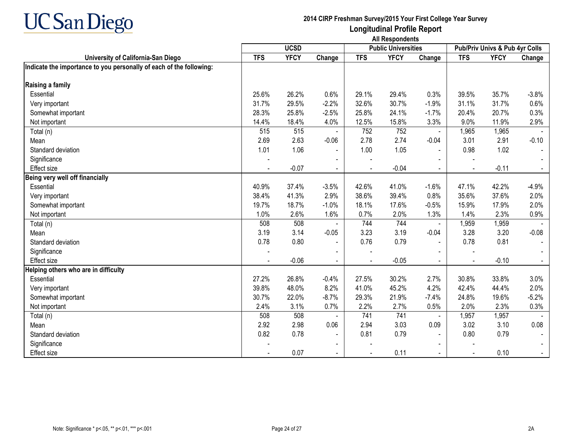

|                                                                     |            | <b>UCSD</b> |                          |            | <b>Public Universities</b> |                          |            | Pub/Priv Univs & Pub 4yr Colls |         |
|---------------------------------------------------------------------|------------|-------------|--------------------------|------------|----------------------------|--------------------------|------------|--------------------------------|---------|
| University of California-San Diego                                  | <b>TFS</b> | <b>YFCY</b> | Change                   | <b>TFS</b> | <b>YFCY</b>                | Change                   | <b>TFS</b> | <b>YFCY</b>                    | Change  |
| Indicate the importance to you personally of each of the following: |            |             |                          |            |                            |                          |            |                                |         |
|                                                                     |            |             |                          |            |                            |                          |            |                                |         |
| Raising a family                                                    |            |             |                          |            |                            |                          |            |                                |         |
| Essential                                                           | 25.6%      | 26.2%       | 0.6%                     | 29.1%      | 29.4%                      | 0.3%                     | 39.5%      | 35.7%                          | $-3.8%$ |
| Very important                                                      | 31.7%      | 29.5%       | $-2.2%$                  | 32.6%      | 30.7%                      | $-1.9%$                  | 31.1%      | 31.7%                          | 0.6%    |
| Somewhat important                                                  | 28.3%      | 25.8%       | $-2.5%$                  | 25.8%      | 24.1%                      | $-1.7%$                  | 20.4%      | 20.7%                          | 0.3%    |
| Not important                                                       | 14.4%      | 18.4%       | 4.0%                     | 12.5%      | 15.8%                      | 3.3%                     | 9.0%       | 11.9%                          | 2.9%    |
| Total (n)                                                           | 515        | 515         |                          | 752        | 752                        |                          | 1,965      | 1,965                          |         |
| Mean                                                                | 2.69       | 2.63        | $-0.06$                  | 2.78       | 2.74                       | $-0.04$                  | 3.01       | 2.91                           | $-0.10$ |
| Standard deviation                                                  | 1.01       | 1.06        | $\blacksquare$           | 1.00       | 1.05                       | $\blacksquare$           | 0.98       | 1.02                           |         |
| Significance                                                        |            |             |                          |            |                            |                          |            |                                |         |
| Effect size                                                         |            | $-0.07$     |                          |            | $-0.04$                    |                          |            | $-0.11$                        |         |
| Being very well off financially                                     |            |             |                          |            |                            |                          |            |                                |         |
| Essential                                                           | 40.9%      | 37.4%       | $-3.5%$                  | 42.6%      | 41.0%                      | $-1.6%$                  | 47.1%      | 42.2%                          | $-4.9%$ |
| Very important                                                      | 38.4%      | 41.3%       | 2.9%                     | 38.6%      | 39.4%                      | 0.8%                     | 35.6%      | 37.6%                          | 2.0%    |
| Somewhat important                                                  | 19.7%      | 18.7%       | $-1.0%$                  | 18.1%      | 17.6%                      | $-0.5%$                  | 15.9%      | 17.9%                          | 2.0%    |
| Not important                                                       | 1.0%       | 2.6%        | 1.6%                     | 0.7%       | 2.0%                       | 1.3%                     | 1.4%       | 2.3%                           | 0.9%    |
| Total (n)                                                           | 508        | 508         |                          | 744        | 744                        | $\blacksquare$           | 1,959      | 1,959                          |         |
| Mean                                                                | 3.19       | 3.14        | $-0.05$                  | 3.23       | 3.19                       | $-0.04$                  | 3.28       | 3.20                           | $-0.08$ |
| Standard deviation                                                  | 0.78       | 0.80        | $\blacksquare$           | 0.76       | 0.79                       | $\blacksquare$           | 0.78       | 0.81                           |         |
| Significance                                                        |            |             | $\overline{\phantom{0}}$ |            |                            |                          |            |                                |         |
| Effect size                                                         |            | $-0.06$     |                          |            | $-0.05$                    |                          |            | $-0.10$                        |         |
| Helping others who are in difficulty                                |            |             |                          |            |                            |                          |            |                                |         |
| Essential                                                           | 27.2%      | 26.8%       | $-0.4%$                  | 27.5%      | 30.2%                      | 2.7%                     | 30.8%      | 33.8%                          | 3.0%    |
| Very important                                                      | 39.8%      | 48.0%       | 8.2%                     | 41.0%      | 45.2%                      | 4.2%                     | 42.4%      | 44.4%                          | 2.0%    |
| Somewhat important                                                  | 30.7%      | 22.0%       | $-8.7%$                  | 29.3%      | 21.9%                      | $-7.4%$                  | 24.8%      | 19.6%                          | $-5.2%$ |
| Not important                                                       | 2.4%       | 3.1%        | 0.7%                     | 2.2%       | 2.7%                       | 0.5%                     | 2.0%       | 2.3%                           | 0.3%    |
| Total (n)                                                           | 508        | 508         |                          | 741        | 741                        | $\blacksquare$           | 1,957      | 1,957                          |         |
| Mean                                                                | 2.92       | 2.98        | 0.06                     | 2.94       | 3.03                       | 0.09                     | 3.02       | 3.10                           | 0.08    |
| Standard deviation                                                  | 0.82       | 0.78        | $\blacksquare$           | 0.81       | 0.79                       |                          | 0.80       | 0.79                           |         |
| Significance                                                        |            |             |                          |            |                            |                          |            |                                |         |
| <b>Effect size</b>                                                  |            | 0.07        | $\sim$                   |            | 0.11                       | $\overline{\phantom{0}}$ |            | 0.10                           | $\sim$  |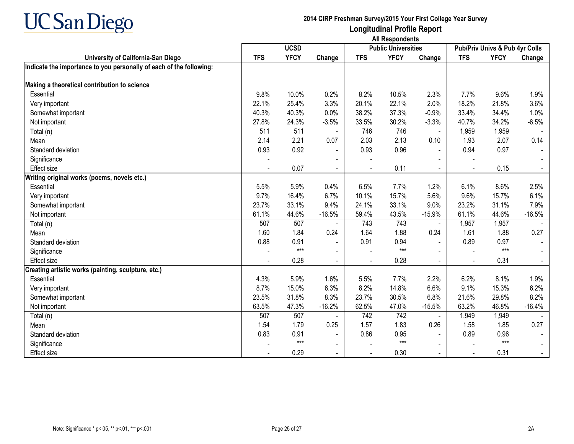

|                                                                     | <b>UCSD</b> |             |                |            | <b>Public Universities</b> |                | Pub/Priv Univs & Pub 4yr Colls |             |                |
|---------------------------------------------------------------------|-------------|-------------|----------------|------------|----------------------------|----------------|--------------------------------|-------------|----------------|
| University of California-San Diego                                  | <b>TFS</b>  | <b>YFCY</b> | Change         | <b>TFS</b> | <b>YFCY</b>                | Change         | <b>TFS</b>                     | <b>YFCY</b> | Change         |
| Indicate the importance to you personally of each of the following: |             |             |                |            |                            |                |                                |             |                |
|                                                                     |             |             |                |            |                            |                |                                |             |                |
| Making a theoretical contribution to science                        |             |             |                |            |                            |                |                                |             |                |
| Essential                                                           | 9.8%        | 10.0%       | 0.2%           | 8.2%       | 10.5%                      | 2.3%           | 7.7%                           | 9.6%        | 1.9%           |
| Very important                                                      | 22.1%       | 25.4%       | 3.3%           | 20.1%      | 22.1%                      | 2.0%           | 18.2%                          | 21.8%       | 3.6%           |
| Somewhat important                                                  | 40.3%       | 40.3%       | 0.0%           | 38.2%      | 37.3%                      | $-0.9%$        | 33.4%                          | 34.4%       | 1.0%           |
| Not important                                                       | 27.8%       | 24.3%       | $-3.5%$        | 33.5%      | 30.2%                      | $-3.3%$        | 40.7%                          | 34.2%       | $-6.5%$        |
| Total (n)                                                           | 511         | 511         |                | 746        | 746                        | $\blacksquare$ | 1,959                          | 1,959       |                |
| Mean                                                                | 2.14        | 2.21        | 0.07           | 2.03       | 2.13                       | 0.10           | 1.93                           | 2.07        | 0.14           |
| Standard deviation                                                  | 0.93        | 0.92        | $\blacksquare$ | 0.93       | 0.96                       | $\sim$         | 0.94                           | 0.97        |                |
| Significance                                                        |             |             |                |            |                            |                |                                |             |                |
| Effect size                                                         |             | 0.07        | $\sim$         |            | 0.11                       |                |                                | 0.15        |                |
| Writing original works (poems, novels etc.)                         |             |             |                |            |                            |                |                                |             |                |
| Essential                                                           | 5.5%        | 5.9%        | 0.4%           | 6.5%       | 7.7%                       | 1.2%           | 6.1%                           | 8.6%        | 2.5%           |
| Very important                                                      | 9.7%        | 16.4%       | 6.7%           | 10.1%      | 15.7%                      | 5.6%           | 9.6%                           | 15.7%       | 6.1%           |
| Somewhat important                                                  | 23.7%       | 33.1%       | 9.4%           | 24.1%      | 33.1%                      | 9.0%           | 23.2%                          | 31.1%       | 7.9%           |
| Not important                                                       | 61.1%       | 44.6%       | $-16.5%$       | 59.4%      | 43.5%                      | $-15.9%$       | 61.1%                          | 44.6%       | $-16.5%$       |
| Total (n)                                                           | 507         | 507         |                | 743        | 743                        |                | 1,957                          | 1,957       |                |
| Mean                                                                | 1.60        | 1.84        | 0.24           | 1.64       | 1.88                       | 0.24           | 1.61                           | 1.88        | 0.27           |
| Standard deviation                                                  | 0.88        | 0.91        | $\blacksquare$ | 0.91       | 0.94                       | $\blacksquare$ | 0.89                           | 0.97        |                |
| Significance                                                        |             | $***$       | $\blacksquare$ |            | $***$                      |                |                                | $***$       |                |
| <b>Effect size</b>                                                  |             | 0.28        | $\blacksquare$ |            | 0.28                       | $\blacksquare$ |                                | 0.31        | $\blacksquare$ |
| Creating artistic works (painting, sculpture, etc.)                 |             |             |                |            |                            |                |                                |             |                |
| Essential                                                           | 4.3%        | 5.9%        | 1.6%           | 5.5%       | 7.7%                       | 2.2%           | 6.2%                           | 8.1%        | 1.9%           |
| Very important                                                      | 8.7%        | 15.0%       | 6.3%           | 8.2%       | 14.8%                      | 6.6%           | 9.1%                           | 15.3%       | 6.2%           |
| Somewhat important                                                  | 23.5%       | 31.8%       | 8.3%           | 23.7%      | 30.5%                      | 6.8%           | 21.6%                          | 29.8%       | 8.2%           |
| Not important                                                       | 63.5%       | 47.3%       | $-16.2%$       | 62.5%      | 47.0%                      | $-15.5%$       | 63.2%                          | 46.8%       | $-16.4%$       |
| Total (n)                                                           | 507         | 507         |                | 742        | 742                        |                | 1,949                          | 1,949       |                |
| Mean                                                                | 1.54        | 1.79        | 0.25           | 1.57       | 1.83                       | 0.26           | 1.58                           | 1.85        | 0.27           |
| Standard deviation                                                  | 0.83        | 0.91        | $\blacksquare$ | 0.86       | 0.95                       |                | 0.89                           | 0.96        |                |
| Significance                                                        |             | $***$       | $\blacksquare$ |            | $***$                      | $\blacksquare$ |                                | $***$       |                |
| Effect size                                                         |             | 0.29        |                |            | 0.30                       |                |                                | 0.31        | $\sim$         |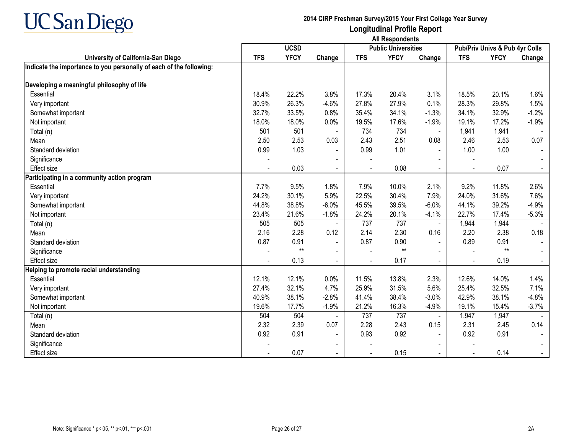

|                                                                     | <b>UCSD</b> |             |                |            | <b>Public Universities</b> |                | Pub/Priv Univs & Pub 4yr Colls |             |                |
|---------------------------------------------------------------------|-------------|-------------|----------------|------------|----------------------------|----------------|--------------------------------|-------------|----------------|
| University of California-San Diego                                  | <b>TFS</b>  | <b>YFCY</b> | Change         | <b>TFS</b> | <b>YFCY</b>                | Change         | <b>TFS</b>                     | <b>YFCY</b> | Change         |
| Indicate the importance to you personally of each of the following: |             |             |                |            |                            |                |                                |             |                |
|                                                                     |             |             |                |            |                            |                |                                |             |                |
| Developing a meaningful philosophy of life                          |             |             |                |            |                            |                |                                |             |                |
| Essential                                                           | 18.4%       | 22.2%       | 3.8%           | 17.3%      | 20.4%                      | 3.1%           | 18.5%                          | 20.1%       | 1.6%           |
| Very important                                                      | 30.9%       | 26.3%       | $-4.6%$        | 27.8%      | 27.9%                      | 0.1%           | 28.3%                          | 29.8%       | 1.5%           |
| Somewhat important                                                  | 32.7%       | 33.5%       | 0.8%           | 35.4%      | 34.1%                      | $-1.3%$        | 34.1%                          | 32.9%       | $-1.2%$        |
| Not important                                                       | 18.0%       | 18.0%       | 0.0%           | 19.5%      | 17.6%                      | $-1.9%$        | 19.1%                          | 17.2%       | $-1.9%$        |
| Total (n)                                                           | 501         | 501         |                | 734        | 734                        | $\blacksquare$ | 1,941                          | 1,941       |                |
| Mean                                                                | 2.50        | 2.53        | 0.03           | 2.43       | 2.51                       | 0.08           | 2.46                           | 2.53        | 0.07           |
| Standard deviation                                                  | 0.99        | 1.03        | $\blacksquare$ | 0.99       | 1.01                       | $\overline{a}$ | 1.00                           | 1.00        |                |
| Significance                                                        |             |             |                |            |                            |                |                                |             |                |
| Effect size                                                         |             | 0.03        | $\blacksquare$ |            | 0.08                       |                |                                | 0.07        |                |
| Participating in a community action program                         |             |             |                |            |                            |                |                                |             |                |
| Essential                                                           | 7.7%        | 9.5%        | 1.8%           | 7.9%       | 10.0%                      | 2.1%           | 9.2%                           | 11.8%       | 2.6%           |
| Very important                                                      | 24.2%       | 30.1%       | 5.9%           | 22.5%      | 30.4%                      | 7.9%           | 24.0%                          | 31.6%       | 7.6%           |
| Somewhat important                                                  | 44.8%       | 38.8%       | $-6.0%$        | 45.5%      | 39.5%                      | $-6.0%$        | 44.1%                          | 39.2%       | $-4.9%$        |
| Not important                                                       | 23.4%       | 21.6%       | $-1.8%$        | 24.2%      | 20.1%                      | $-4.1%$        | 22.7%                          | 17.4%       | $-5.3%$        |
| Total (n)                                                           | 505         | 505         |                | 737        | 737                        |                | 1,944                          | 1,944       |                |
| Mean                                                                | 2.16        | 2.28        | 0.12           | 2.14       | 2.30                       | 0.16           | 2.20                           | 2.38        | 0.18           |
| Standard deviation                                                  | 0.87        | 0.91        | $\blacksquare$ | 0.87       | 0.90                       | $\blacksquare$ | 0.89                           | 0.91        |                |
| Significance                                                        |             | $**$        | $\blacksquare$ |            | $^{\star\star}$            |                |                                | $**$        |                |
| <b>Effect size</b>                                                  |             | 0.13        | $\blacksquare$ |            | 0.17                       | $\blacksquare$ |                                | 0.19        | $\blacksquare$ |
| Helping to promote racial understanding                             |             |             |                |            |                            |                |                                |             |                |
| Essential                                                           | 12.1%       | 12.1%       | 0.0%           | 11.5%      | 13.8%                      | 2.3%           | 12.6%                          | 14.0%       | 1.4%           |
| Very important                                                      | 27.4%       | 32.1%       | 4.7%           | 25.9%      | 31.5%                      | 5.6%           | 25.4%                          | 32.5%       | 7.1%           |
| Somewhat important                                                  | 40.9%       | 38.1%       | $-2.8%$        | 41.4%      | 38.4%                      | $-3.0%$        | 42.9%                          | 38.1%       | $-4.8%$        |
| Not important                                                       | 19.6%       | 17.7%       | $-1.9%$        | 21.2%      | 16.3%                      | $-4.9%$        | 19.1%                          | 15.4%       | $-3.7%$        |
| Total (n)                                                           | 504         | 504         |                | 737        | 737                        | $\blacksquare$ | 1,947                          | 1,947       |                |
| Mean                                                                | 2.32        | 2.39        | 0.07           | 2.28       | 2.43                       | 0.15           | 2.31                           | 2.45        | 0.14           |
| Standard deviation                                                  | 0.92        | 0.91        | $\blacksquare$ | 0.93       | 0.92                       | $\blacksquare$ | 0.92                           | 0.91        |                |
| Significance                                                        |             |             | $\blacksquare$ |            |                            | $\blacksquare$ |                                |             |                |
| Effect size                                                         |             | 0.07        |                |            | 0.15                       |                |                                | 0.14        |                |